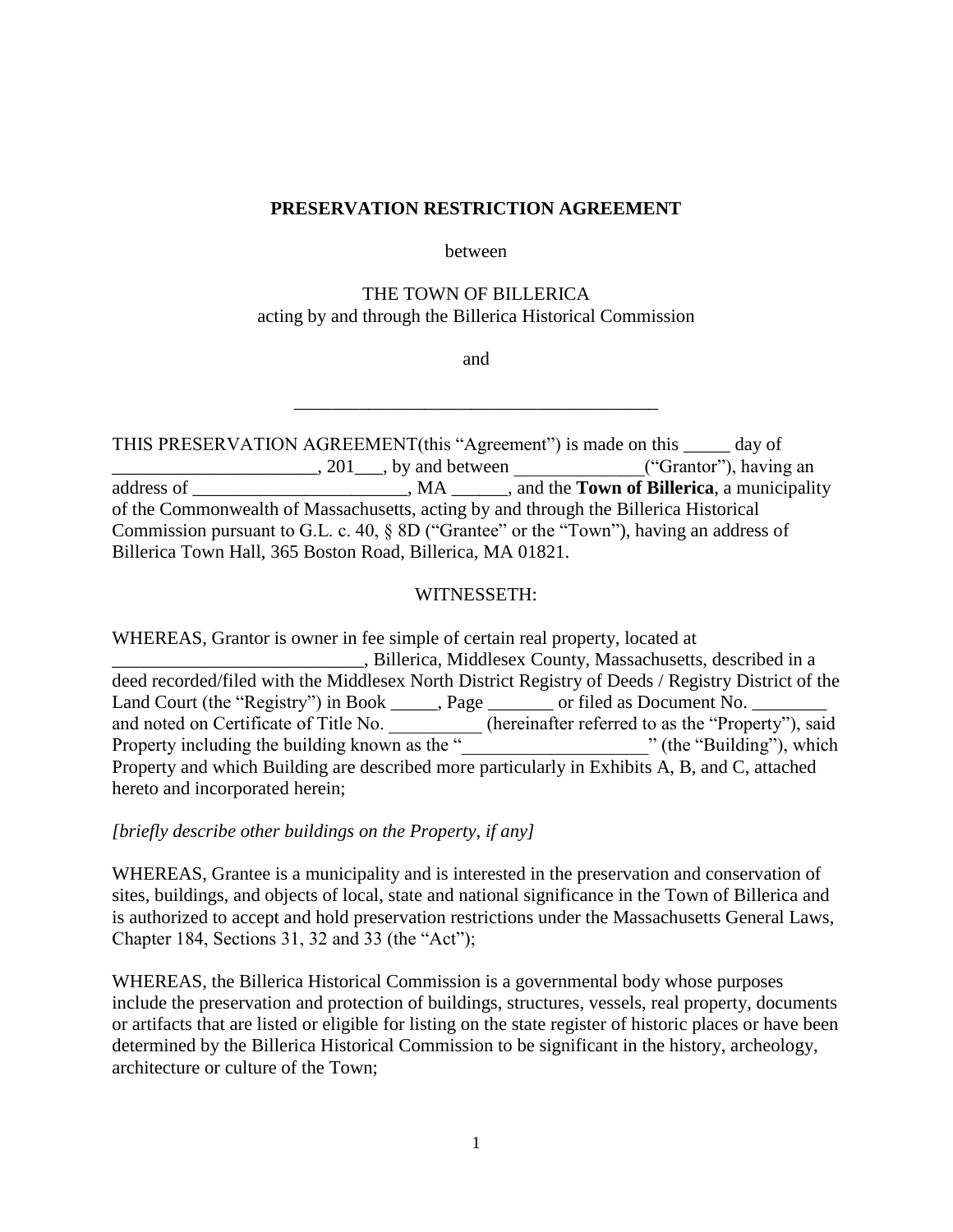### **PRESERVATION RESTRICTION AGREEMENT**

#### between

## THE TOWN OF BILLERICA acting by and through the Billerica Historical Commission

and

\_\_\_\_\_\_\_\_\_\_\_\_\_\_\_\_\_\_\_\_\_\_\_\_\_\_\_\_\_\_\_\_\_\_\_\_\_\_\_

THIS PRESERVATION AGREEMENT(this "Agreement") is made on this \_\_\_\_\_ day of \_\_\_\_\_\_\_\_\_\_\_\_\_\_\_\_\_\_\_\_\_\_\_\_\_\_\_\_\_, 201\_\_\_\_, by and between \_\_\_\_\_\_\_\_\_\_\_\_\_\_\_\_("Grantor"), having an address of \_\_\_\_\_\_\_\_\_\_\_\_\_\_\_\_, MA \_\_\_\_\_\_, and the **Town of Billerica**, a municipality of the Commonwealth of Massachusetts, acting by and through the Billerica Historical Commission pursuant to G.L. c. 40, § 8D ("Grantee" or the "Town"), having an address of Billerica Town Hall, 365 Boston Road, Billerica, MA 01821.

## WITNESSETH:

WHEREAS, Grantor is owner in fee simple of certain real property, located at \_\_\_\_\_\_\_\_\_\_\_\_\_\_\_\_\_\_\_\_\_\_\_\_\_\_\_, Billerica, Middlesex County, Massachusetts, described in a deed recorded/filed with the Middlesex North District Registry of Deeds / Registry District of the Land Court (the "Registry") in Book \_\_\_\_\_, Page \_\_\_\_\_\_\_ or filed as Document No. \_ and noted on Certificate of Title No. \_\_\_\_\_\_\_\_\_\_ (hereinafter referred to as the "Property"), said Property including the building known as the "\_\_\_\_\_\_\_\_\_\_\_\_\_\_\_\_\_\_\_\_\_\_\_\_\_\_\_\_\_\_\_\_\_\_" (the "Building"), which Property and which Building are described more particularly in Exhibits A, B, and C, attached hereto and incorporated herein;

*[briefly describe other buildings on the Property, if any]*

WHEREAS, Grantee is a municipality and is interested in the preservation and conservation of sites, buildings, and objects of local, state and national significance in the Town of Billerica and is authorized to accept and hold preservation restrictions under the Massachusetts General Laws, Chapter 184, Sections 31, 32 and 33 (the "Act");

WHEREAS, the Billerica Historical Commission is a governmental body whose purposes include the preservation and protection of buildings, structures, vessels, real property, documents or artifacts that are listed or eligible for listing on the state register of historic places or have been determined by the Billerica Historical Commission to be significant in the history, archeology, architecture or culture of the Town;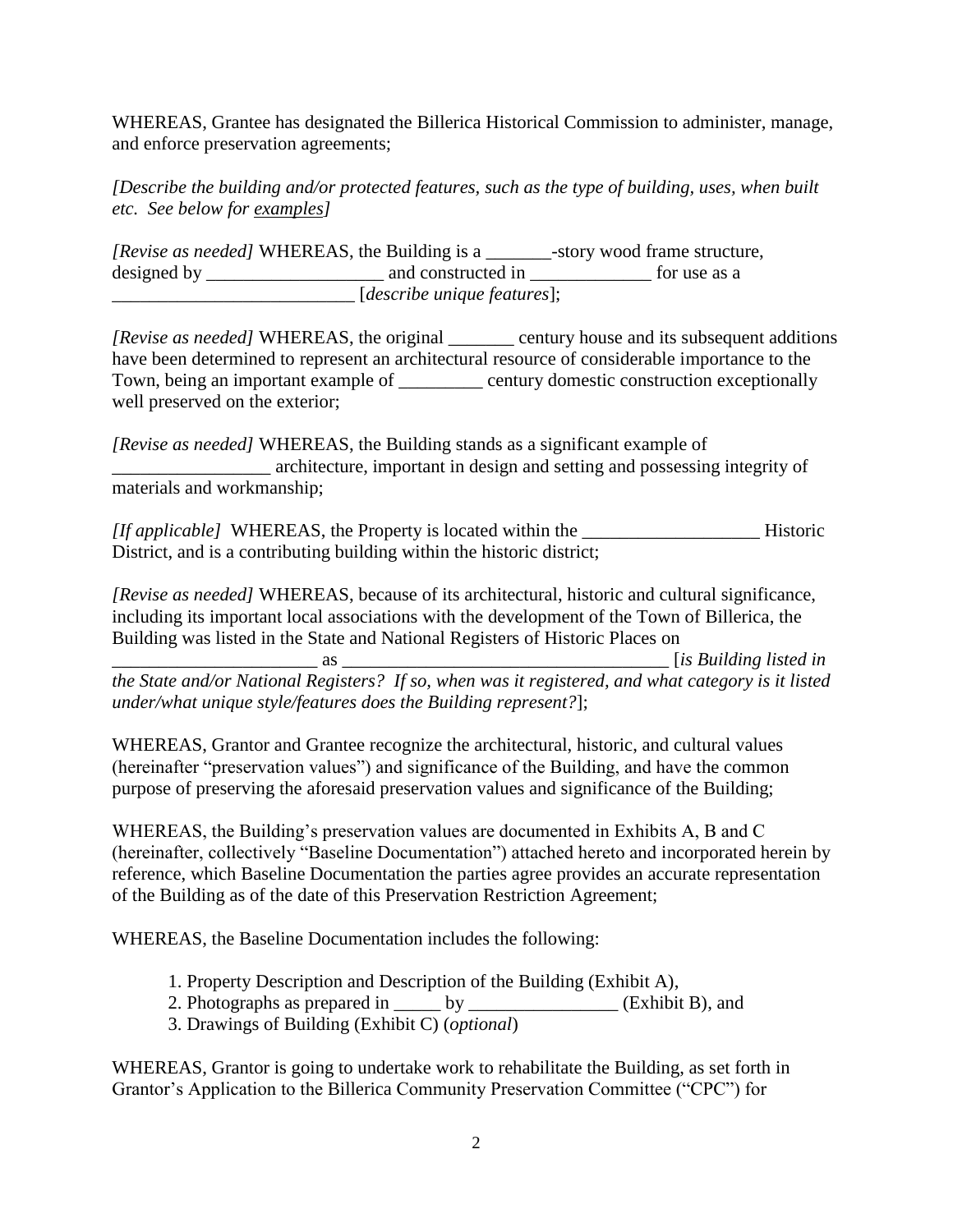WHEREAS, Grantee has designated the Billerica Historical Commission to administer, manage, and enforce preservation agreements;

*[Describe the building and/or protected features, such as the type of building, uses, when built etc. See below for examples]*

*[Revise as needed]* WHEREAS, the Building is a \_\_\_\_\_\_\_-story wood frame structure, designed by \_\_\_\_\_\_\_\_\_\_\_\_\_\_\_\_\_\_\_ and constructed in \_\_\_\_\_\_\_\_\_\_\_\_\_ for use as a \_\_\_\_\_\_\_\_\_\_\_\_\_\_\_\_\_\_\_\_\_\_\_\_\_\_ [*describe unique features*];

*[Revise as needed]* WHEREAS, the original \_\_\_\_\_\_\_ century house and its subsequent additions have been determined to represent an architectural resource of considerable importance to the Town, being an important example of \_\_\_\_\_\_\_\_\_ century domestic construction exceptionally well preserved on the exterior;

*[Revise as needed]* WHEREAS, the Building stands as a significant example of \_\_\_\_\_\_\_\_\_\_\_\_\_\_\_\_\_ architecture, important in design and setting and possessing integrity of materials and workmanship;

*[If applicable]* WHEREAS, the Property is located within the \_\_\_\_\_\_\_\_\_\_\_\_\_\_\_\_\_\_\_ Historic District, and is a contributing building within the historic district;

*[Revise as needed]* WHEREAS, because of its architectural, historic and cultural significance, including its important local associations with the development of the Town of Billerica, the Building was listed in the State and National Registers of Historic Places on

\_\_\_\_\_\_\_\_\_\_\_\_\_\_\_\_\_\_\_\_\_\_ as \_\_\_\_\_\_\_\_\_\_\_\_\_\_\_\_\_\_\_\_\_\_\_\_\_\_\_\_\_\_\_\_\_\_\_ [*is Building listed in the State and/or National Registers? If so, when was it registered, and what category is it listed under/what unique style/features does the Building represent?*];

WHEREAS, Grantor and Grantee recognize the architectural, historic, and cultural values (hereinafter "preservation values") and significance of the Building, and have the common purpose of preserving the aforesaid preservation values and significance of the Building;

WHEREAS, the Building's preservation values are documented in Exhibits A, B and C (hereinafter, collectively "Baseline Documentation") attached hereto and incorporated herein by reference, which Baseline Documentation the parties agree provides an accurate representation of the Building as of the date of this Preservation Restriction Agreement;

WHEREAS, the Baseline Documentation includes the following:

- 1. Property Description and Description of the Building (Exhibit A),
- 2. Photographs as prepared in  $\qquad \qquad$  by  $(Exhibit B)$ , and
- 3. Drawings of Building (Exhibit C) (*optional*)

WHEREAS, Grantor is going to undertake work to rehabilitate the Building, as set forth in Grantor's Application to the Billerica Community Preservation Committee ("CPC") for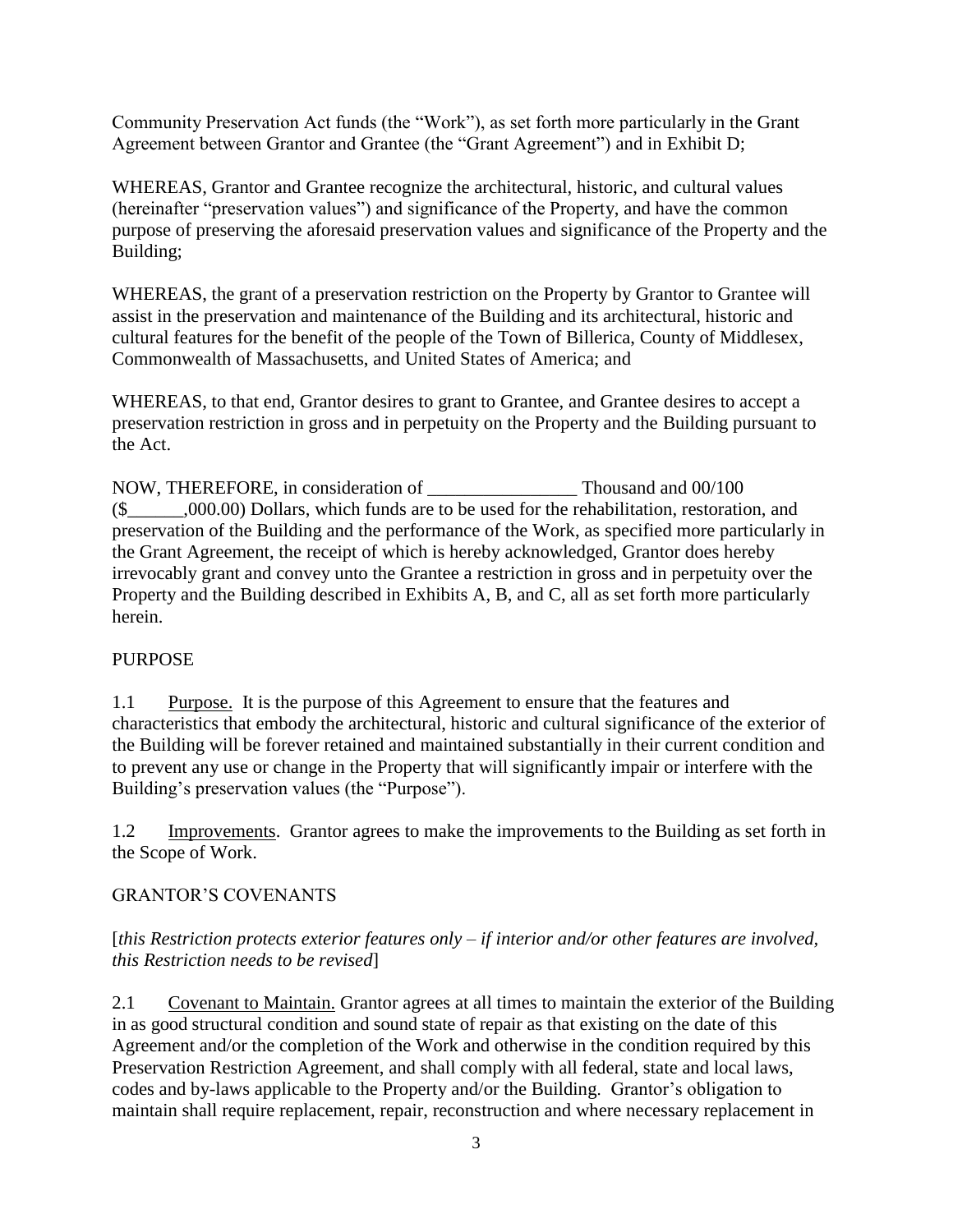Community Preservation Act funds (the "Work"), as set forth more particularly in the Grant Agreement between Grantor and Grantee (the "Grant Agreement") and in Exhibit D;

WHEREAS, Grantor and Grantee recognize the architectural, historic, and cultural values (hereinafter "preservation values") and significance of the Property, and have the common purpose of preserving the aforesaid preservation values and significance of the Property and the Building;

WHEREAS, the grant of a preservation restriction on the Property by Grantor to Grantee will assist in the preservation and maintenance of the Building and its architectural, historic and cultural features for the benefit of the people of the Town of Billerica, County of Middlesex, Commonwealth of Massachusetts, and United States of America; and

WHEREAS, to that end, Grantor desires to grant to Grantee, and Grantee desires to accept a preservation restriction in gross and in perpetuity on the Property and the Building pursuant to the Act.

NOW, THEREFORE, in consideration of \_\_\_\_\_\_\_\_\_\_\_\_\_\_\_\_ Thousand and 00/100 (\$\_\_\_\_\_\_,000.00) Dollars, which funds are to be used for the rehabilitation, restoration, and preservation of the Building and the performance of the Work, as specified more particularly in the Grant Agreement, the receipt of which is hereby acknowledged, Grantor does hereby irrevocably grant and convey unto the Grantee a restriction in gross and in perpetuity over the Property and the Building described in Exhibits A, B, and C, all as set forth more particularly herein.

# PURPOSE

1.1 Purpose. It is the purpose of this Agreement to ensure that the features and characteristics that embody the architectural, historic and cultural significance of the exterior of the Building will be forever retained and maintained substantially in their current condition and to prevent any use or change in the Property that will significantly impair or interfere with the Building's preservation values (the "Purpose").

1.2 Improvements. Grantor agrees to make the improvements to the Building as set forth in the Scope of Work.

# GRANTOR'S COVENANTS

# [*this Restriction protects exterior features only – if interior and/or other features are involved, this Restriction needs to be revised*]

2.1 Covenant to Maintain. Grantor agrees at all times to maintain the exterior of the Building in as good structural condition and sound state of repair as that existing on the date of this Agreement and/or the completion of the Work and otherwise in the condition required by this Preservation Restriction Agreement, and shall comply with all federal, state and local laws, codes and by-laws applicable to the Property and/or the Building. Grantor's obligation to maintain shall require replacement, repair, reconstruction and where necessary replacement in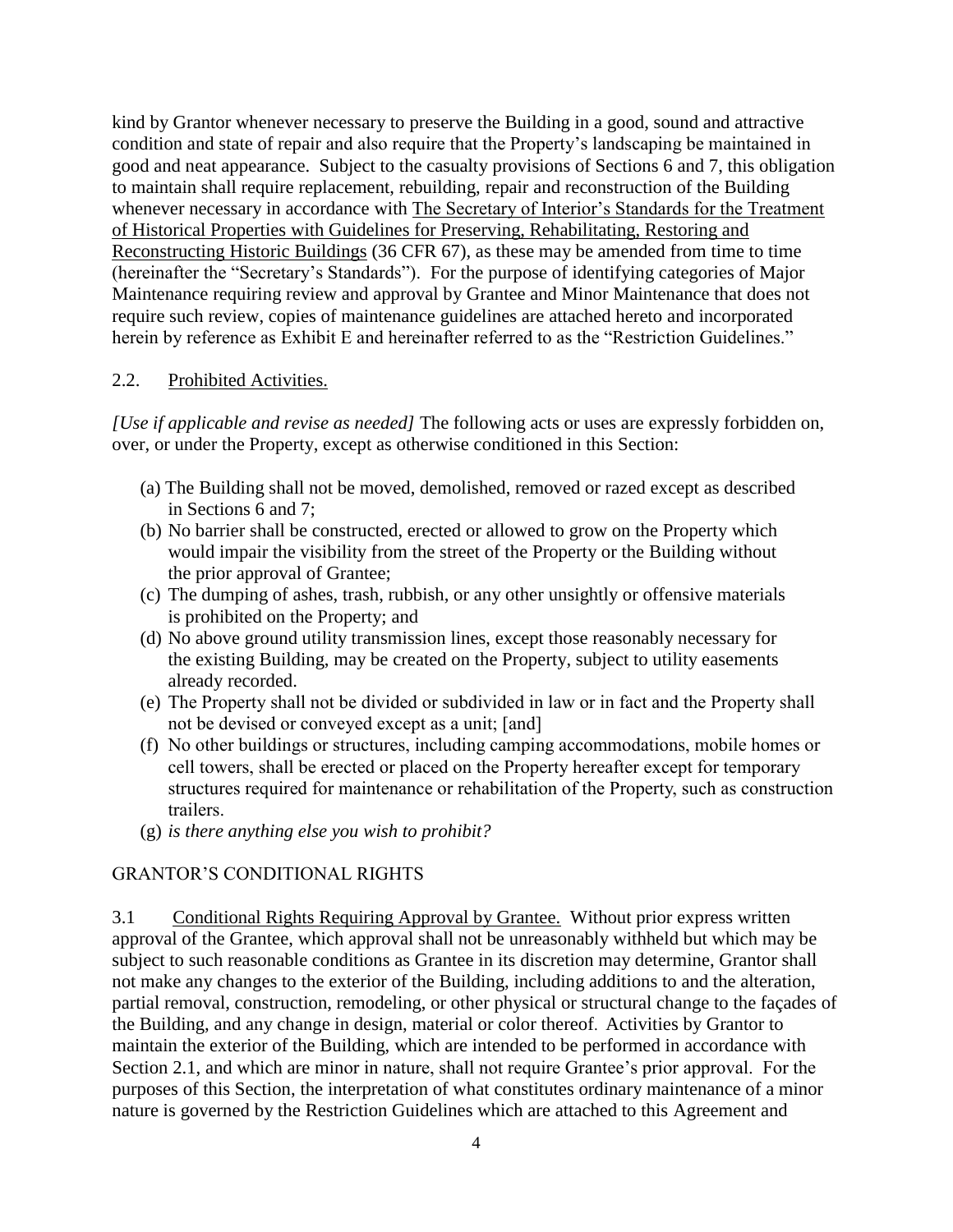kind by Grantor whenever necessary to preserve the Building in a good, sound and attractive condition and state of repair and also require that the Property's landscaping be maintained in good and neat appearance. Subject to the casualty provisions of Sections 6 and 7, this obligation to maintain shall require replacement, rebuilding, repair and reconstruction of the Building whenever necessary in accordance with The Secretary of Interior's Standards for the Treatment of Historical Properties with Guidelines for Preserving, Rehabilitating, Restoring and Reconstructing Historic Buildings (36 CFR 67), as these may be amended from time to time (hereinafter the "Secretary's Standards"). For the purpose of identifying categories of Major Maintenance requiring review and approval by Grantee and Minor Maintenance that does not require such review, copies of maintenance guidelines are attached hereto and incorporated herein by reference as Exhibit E and hereinafter referred to as the "Restriction Guidelines."

## 2.2. Prohibited Activities.

*[Use if applicable and revise as needed]* The following acts or uses are expressly forbidden on, over, or under the Property, except as otherwise conditioned in this Section:

- (a) The Building shall not be moved, demolished, removed or razed except as described in Sections 6 and 7;
- (b) No barrier shall be constructed, erected or allowed to grow on the Property which would impair the visibility from the street of the Property or the Building without the prior approval of Grantee;
- (c) The dumping of ashes, trash, rubbish, or any other unsightly or offensive materials is prohibited on the Property; and
- (d) No above ground utility transmission lines, except those reasonably necessary for the existing Building, may be created on the Property, subject to utility easements already recorded.
- (e) The Property shall not be divided or subdivided in law or in fact and the Property shall not be devised or conveyed except as a unit; [and]
- (f) No other buildings or structures, including camping accommodations, mobile homes or cell towers, shall be erected or placed on the Property hereafter except for temporary structures required for maintenance or rehabilitation of the Property, such as construction trailers.
- (g) *is there anything else you wish to prohibit?*

# GRANTOR'S CONDITIONAL RIGHTS

3.1 Conditional Rights Requiring Approval by Grantee. Without prior express written approval of the Grantee, which approval shall not be unreasonably withheld but which may be subject to such reasonable conditions as Grantee in its discretion may determine, Grantor shall not make any changes to the exterior of the Building, including additions to and the alteration, partial removal, construction, remodeling, or other physical or structural change to the façades of the Building, and any change in design, material or color thereof. Activities by Grantor to maintain the exterior of the Building, which are intended to be performed in accordance with Section 2.1, and which are minor in nature, shall not require Grantee's prior approval. For the purposes of this Section, the interpretation of what constitutes ordinary maintenance of a minor nature is governed by the Restriction Guidelines which are attached to this Agreement and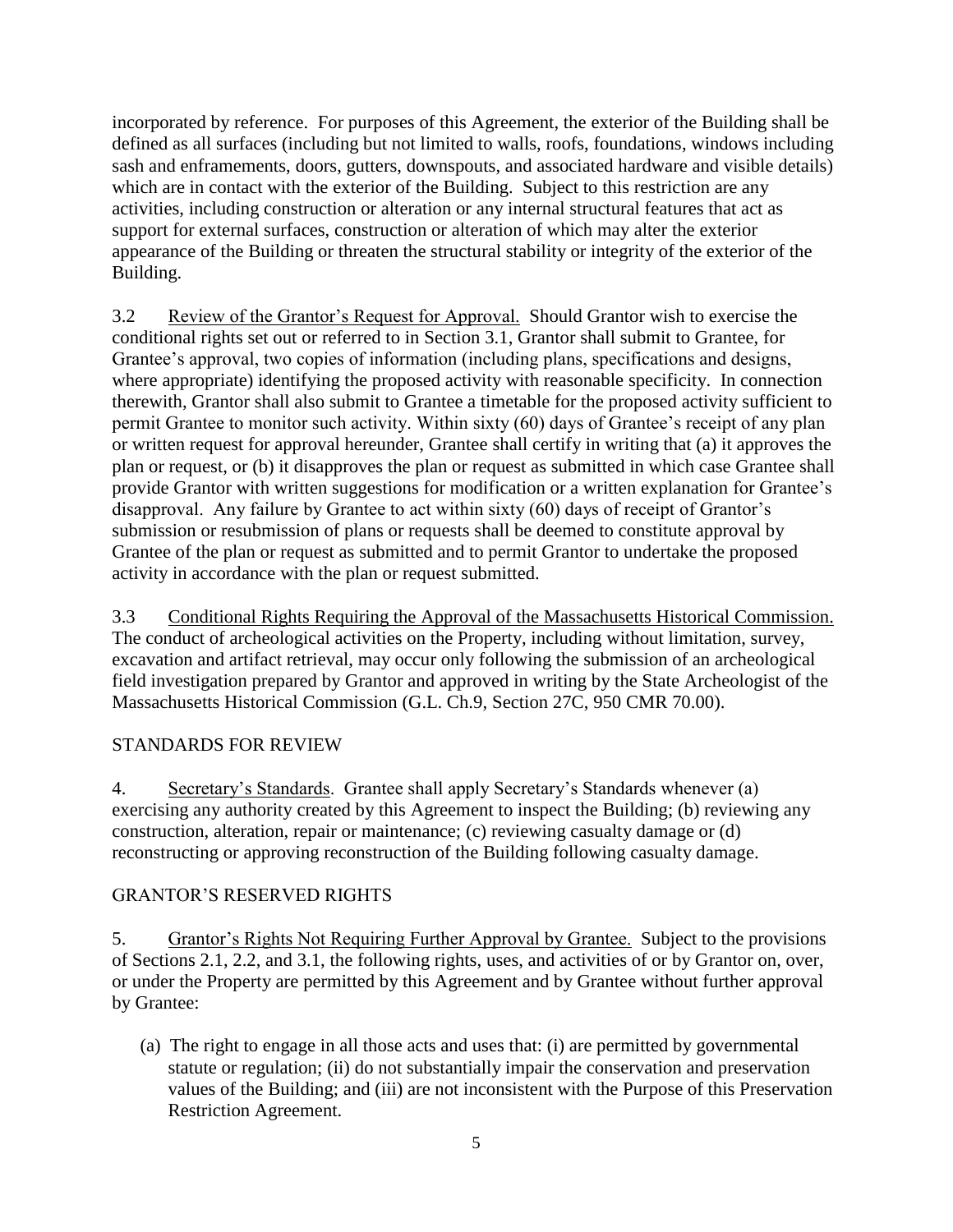incorporated by reference. For purposes of this Agreement, the exterior of the Building shall be defined as all surfaces (including but not limited to walls, roofs, foundations, windows including sash and enframements, doors, gutters, downspouts, and associated hardware and visible details) which are in contact with the exterior of the Building. Subject to this restriction are any activities, including construction or alteration or any internal structural features that act as support for external surfaces, construction or alteration of which may alter the exterior appearance of the Building or threaten the structural stability or integrity of the exterior of the Building.

3.2 Review of the Grantor's Request for Approval. Should Grantor wish to exercise the conditional rights set out or referred to in Section 3.1, Grantor shall submit to Grantee, for Grantee's approval, two copies of information (including plans, specifications and designs, where appropriate) identifying the proposed activity with reasonable specificity. In connection therewith, Grantor shall also submit to Grantee a timetable for the proposed activity sufficient to permit Grantee to monitor such activity. Within sixty (60) days of Grantee's receipt of any plan or written request for approval hereunder, Grantee shall certify in writing that (a) it approves the plan or request, or (b) it disapproves the plan or request as submitted in which case Grantee shall provide Grantor with written suggestions for modification or a written explanation for Grantee's disapproval. Any failure by Grantee to act within sixty (60) days of receipt of Grantor's submission or resubmission of plans or requests shall be deemed to constitute approval by Grantee of the plan or request as submitted and to permit Grantor to undertake the proposed activity in accordance with the plan or request submitted.

3.3 Conditional Rights Requiring the Approval of the Massachusetts Historical Commission. The conduct of archeological activities on the Property, including without limitation, survey, excavation and artifact retrieval, may occur only following the submission of an archeological field investigation prepared by Grantor and approved in writing by the State Archeologist of the Massachusetts Historical Commission (G.L. Ch.9, Section 27C, 950 CMR 70.00).

# STANDARDS FOR REVIEW

4. Secretary's Standards. Grantee shall apply Secretary's Standards whenever (a) exercising any authority created by this Agreement to inspect the Building; (b) reviewing any construction, alteration, repair or maintenance; (c) reviewing casualty damage or (d) reconstructing or approving reconstruction of the Building following casualty damage.

# GRANTOR'S RESERVED RIGHTS

5. Grantor's Rights Not Requiring Further Approval by Grantee. Subject to the provisions of Sections 2.1, 2.2, and 3.1, the following rights, uses, and activities of or by Grantor on, over, or under the Property are permitted by this Agreement and by Grantee without further approval by Grantee:

(a) The right to engage in all those acts and uses that: (i) are permitted by governmental statute or regulation; (ii) do not substantially impair the conservation and preservation values of the Building; and (iii) are not inconsistent with the Purpose of this Preservation Restriction Agreement.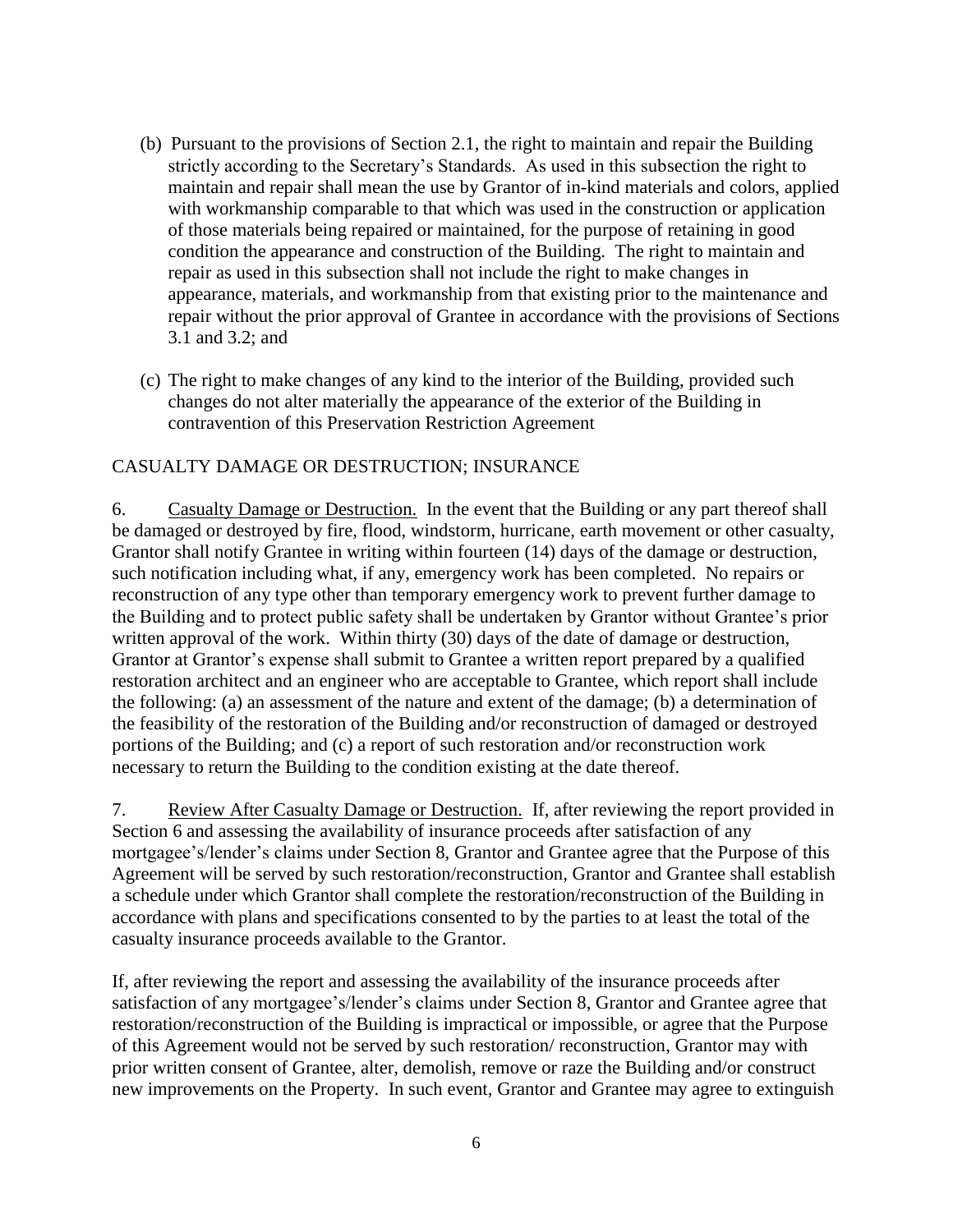- (b) Pursuant to the provisions of Section 2.1, the right to maintain and repair the Building strictly according to the Secretary's Standards. As used in this subsection the right to maintain and repair shall mean the use by Grantor of in-kind materials and colors, applied with workmanship comparable to that which was used in the construction or application of those materials being repaired or maintained, for the purpose of retaining in good condition the appearance and construction of the Building. The right to maintain and repair as used in this subsection shall not include the right to make changes in appearance, materials, and workmanship from that existing prior to the maintenance and repair without the prior approval of Grantee in accordance with the provisions of Sections 3.1 and 3.2; and
- (c) The right to make changes of any kind to the interior of the Building, provided such changes do not alter materially the appearance of the exterior of the Building in contravention of this Preservation Restriction Agreement

# CASUALTY DAMAGE OR DESTRUCTION; INSURANCE

6. Casualty Damage or Destruction. In the event that the Building or any part thereof shall be damaged or destroyed by fire, flood, windstorm, hurricane, earth movement or other casualty, Grantor shall notify Grantee in writing within fourteen (14) days of the damage or destruction, such notification including what, if any, emergency work has been completed. No repairs or reconstruction of any type other than temporary emergency work to prevent further damage to the Building and to protect public safety shall be undertaken by Grantor without Grantee's prior written approval of the work. Within thirty (30) days of the date of damage or destruction, Grantor at Grantor's expense shall submit to Grantee a written report prepared by a qualified restoration architect and an engineer who are acceptable to Grantee, which report shall include the following: (a) an assessment of the nature and extent of the damage; (b) a determination of the feasibility of the restoration of the Building and/or reconstruction of damaged or destroyed portions of the Building; and (c) a report of such restoration and/or reconstruction work necessary to return the Building to the condition existing at the date thereof.

7. Review After Casualty Damage or Destruction. If, after reviewing the report provided in Section 6 and assessing the availability of insurance proceeds after satisfaction of any mortgagee's/lender's claims under Section 8, Grantor and Grantee agree that the Purpose of this Agreement will be served by such restoration/reconstruction, Grantor and Grantee shall establish a schedule under which Grantor shall complete the restoration/reconstruction of the Building in accordance with plans and specifications consented to by the parties to at least the total of the casualty insurance proceeds available to the Grantor.

If, after reviewing the report and assessing the availability of the insurance proceeds after satisfaction of any mortgagee's/lender's claims under Section 8, Grantor and Grantee agree that restoration/reconstruction of the Building is impractical or impossible, or agree that the Purpose of this Agreement would not be served by such restoration/ reconstruction, Grantor may with prior written consent of Grantee, alter, demolish, remove or raze the Building and/or construct new improvements on the Property. In such event, Grantor and Grantee may agree to extinguish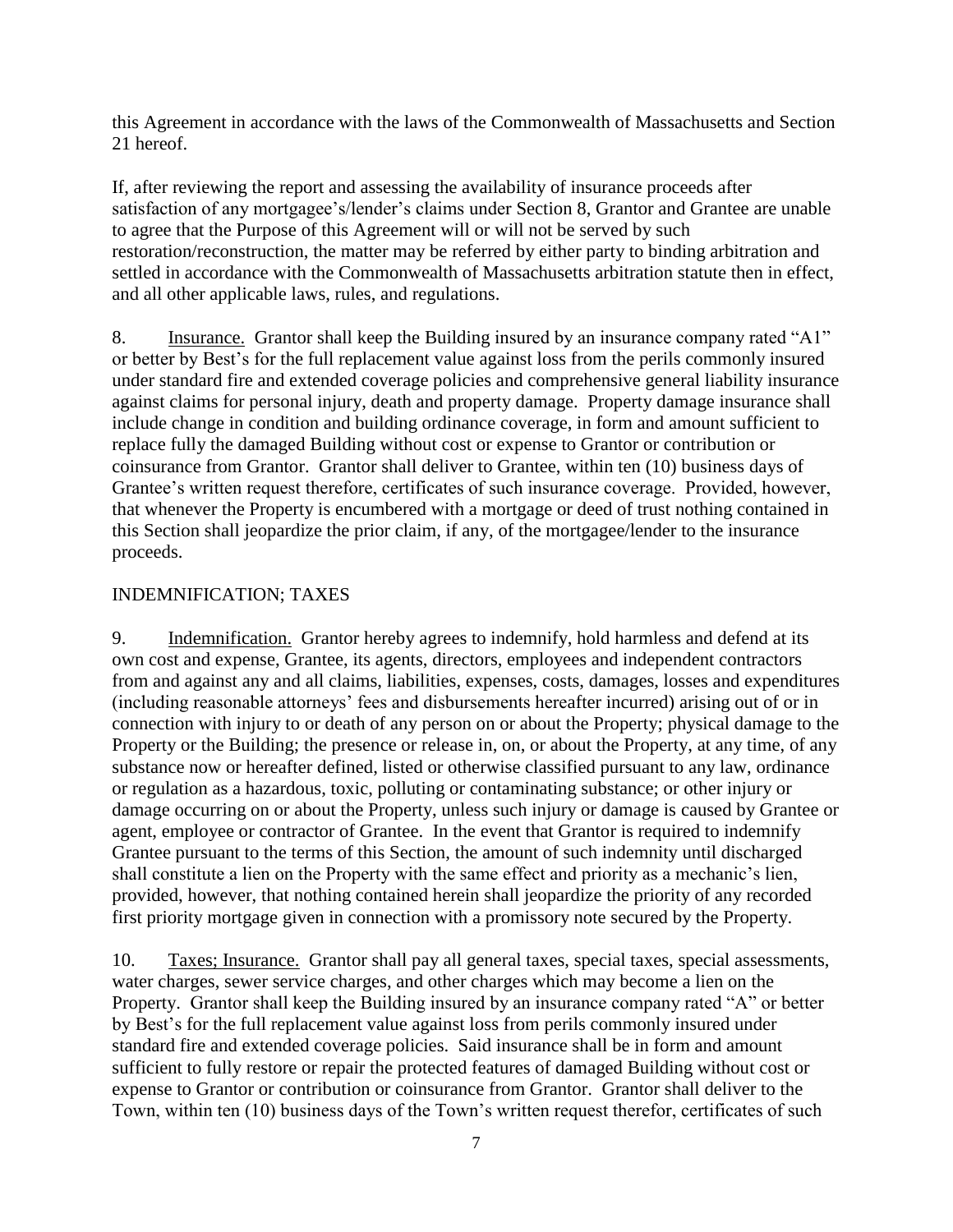this Agreement in accordance with the laws of the Commonwealth of Massachusetts and Section 21 hereof.

If, after reviewing the report and assessing the availability of insurance proceeds after satisfaction of any mortgagee's/lender's claims under Section 8, Grantor and Grantee are unable to agree that the Purpose of this Agreement will or will not be served by such restoration/reconstruction, the matter may be referred by either party to binding arbitration and settled in accordance with the Commonwealth of Massachusetts arbitration statute then in effect, and all other applicable laws, rules, and regulations.

8. Insurance. Grantor shall keep the Building insured by an insurance company rated "A1" or better by Best's for the full replacement value against loss from the perils commonly insured under standard fire and extended coverage policies and comprehensive general liability insurance against claims for personal injury, death and property damage. Property damage insurance shall include change in condition and building ordinance coverage, in form and amount sufficient to replace fully the damaged Building without cost or expense to Grantor or contribution or coinsurance from Grantor. Grantor shall deliver to Grantee, within ten (10) business days of Grantee's written request therefore, certificates of such insurance coverage. Provided, however, that whenever the Property is encumbered with a mortgage or deed of trust nothing contained in this Section shall jeopardize the prior claim, if any, of the mortgagee/lender to the insurance proceeds.

# INDEMNIFICATION; TAXES

9. Indemnification. Grantor hereby agrees to indemnify, hold harmless and defend at its own cost and expense, Grantee, its agents, directors, employees and independent contractors from and against any and all claims, liabilities, expenses, costs, damages, losses and expenditures (including reasonable attorneys' fees and disbursements hereafter incurred) arising out of or in connection with injury to or death of any person on or about the Property; physical damage to the Property or the Building; the presence or release in, on, or about the Property, at any time, of any substance now or hereafter defined, listed or otherwise classified pursuant to any law, ordinance or regulation as a hazardous, toxic, polluting or contaminating substance; or other injury or damage occurring on or about the Property, unless such injury or damage is caused by Grantee or agent, employee or contractor of Grantee. In the event that Grantor is required to indemnify Grantee pursuant to the terms of this Section, the amount of such indemnity until discharged shall constitute a lien on the Property with the same effect and priority as a mechanic's lien, provided, however, that nothing contained herein shall jeopardize the priority of any recorded first priority mortgage given in connection with a promissory note secured by the Property.

10. Taxes; Insurance. Grantor shall pay all general taxes, special taxes, special assessments, water charges, sewer service charges, and other charges which may become a lien on the Property. Grantor shall keep the Building insured by an insurance company rated "A" or better by Best's for the full replacement value against loss from perils commonly insured under standard fire and extended coverage policies. Said insurance shall be in form and amount sufficient to fully restore or repair the protected features of damaged Building without cost or expense to Grantor or contribution or coinsurance from Grantor. Grantor shall deliver to the Town, within ten (10) business days of the Town's written request therefor, certificates of such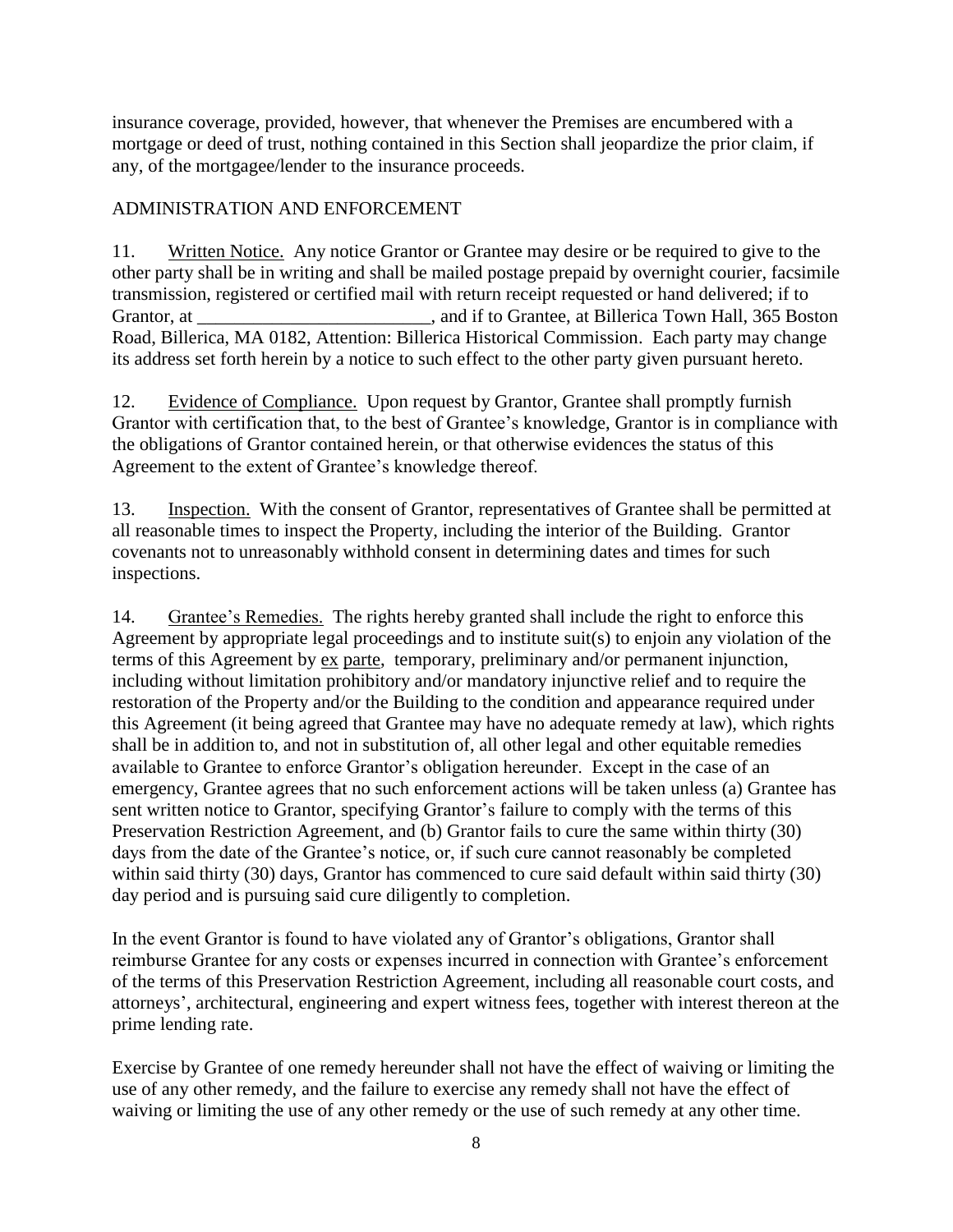insurance coverage, provided, however, that whenever the Premises are encumbered with a mortgage or deed of trust, nothing contained in this Section shall jeopardize the prior claim, if any, of the mortgagee/lender to the insurance proceeds.

# ADMINISTRATION AND ENFORCEMENT

11. Written Notice. Any notice Grantor or Grantee may desire or be required to give to the other party shall be in writing and shall be mailed postage prepaid by overnight courier, facsimile transmission, registered or certified mail with return receipt requested or hand delivered; if to Grantor, at \_\_\_\_\_\_\_\_\_\_\_\_\_\_\_\_\_\_\_\_\_\_\_\_, and if to Grantee, at Billerica Town Hall, 365 Boston Road, Billerica, MA 0182, Attention: Billerica Historical Commission. Each party may change its address set forth herein by a notice to such effect to the other party given pursuant hereto.

12. Evidence of Compliance. Upon request by Grantor, Grantee shall promptly furnish Grantor with certification that, to the best of Grantee's knowledge, Grantor is in compliance with the obligations of Grantor contained herein, or that otherwise evidences the status of this Agreement to the extent of Grantee's knowledge thereof.

13. Inspection. With the consent of Grantor, representatives of Grantee shall be permitted at all reasonable times to inspect the Property, including the interior of the Building. Grantor covenants not to unreasonably withhold consent in determining dates and times for such inspections.

14. Grantee's Remedies. The rights hereby granted shall include the right to enforce this Agreement by appropriate legal proceedings and to institute suit(s) to enjoin any violation of the terms of this Agreement by ex parte, temporary, preliminary and/or permanent injunction, including without limitation prohibitory and/or mandatory injunctive relief and to require the restoration of the Property and/or the Building to the condition and appearance required under this Agreement (it being agreed that Grantee may have no adequate remedy at law), which rights shall be in addition to, and not in substitution of, all other legal and other equitable remedies available to Grantee to enforce Grantor's obligation hereunder. Except in the case of an emergency, Grantee agrees that no such enforcement actions will be taken unless (a) Grantee has sent written notice to Grantor, specifying Grantor's failure to comply with the terms of this Preservation Restriction Agreement, and (b) Grantor fails to cure the same within thirty (30) days from the date of the Grantee's notice, or, if such cure cannot reasonably be completed within said thirty (30) days, Grantor has commenced to cure said default within said thirty (30) day period and is pursuing said cure diligently to completion.

In the event Grantor is found to have violated any of Grantor's obligations, Grantor shall reimburse Grantee for any costs or expenses incurred in connection with Grantee's enforcement of the terms of this Preservation Restriction Agreement, including all reasonable court costs, and attorneys', architectural, engineering and expert witness fees, together with interest thereon at the prime lending rate.

Exercise by Grantee of one remedy hereunder shall not have the effect of waiving or limiting the use of any other remedy, and the failure to exercise any remedy shall not have the effect of waiving or limiting the use of any other remedy or the use of such remedy at any other time.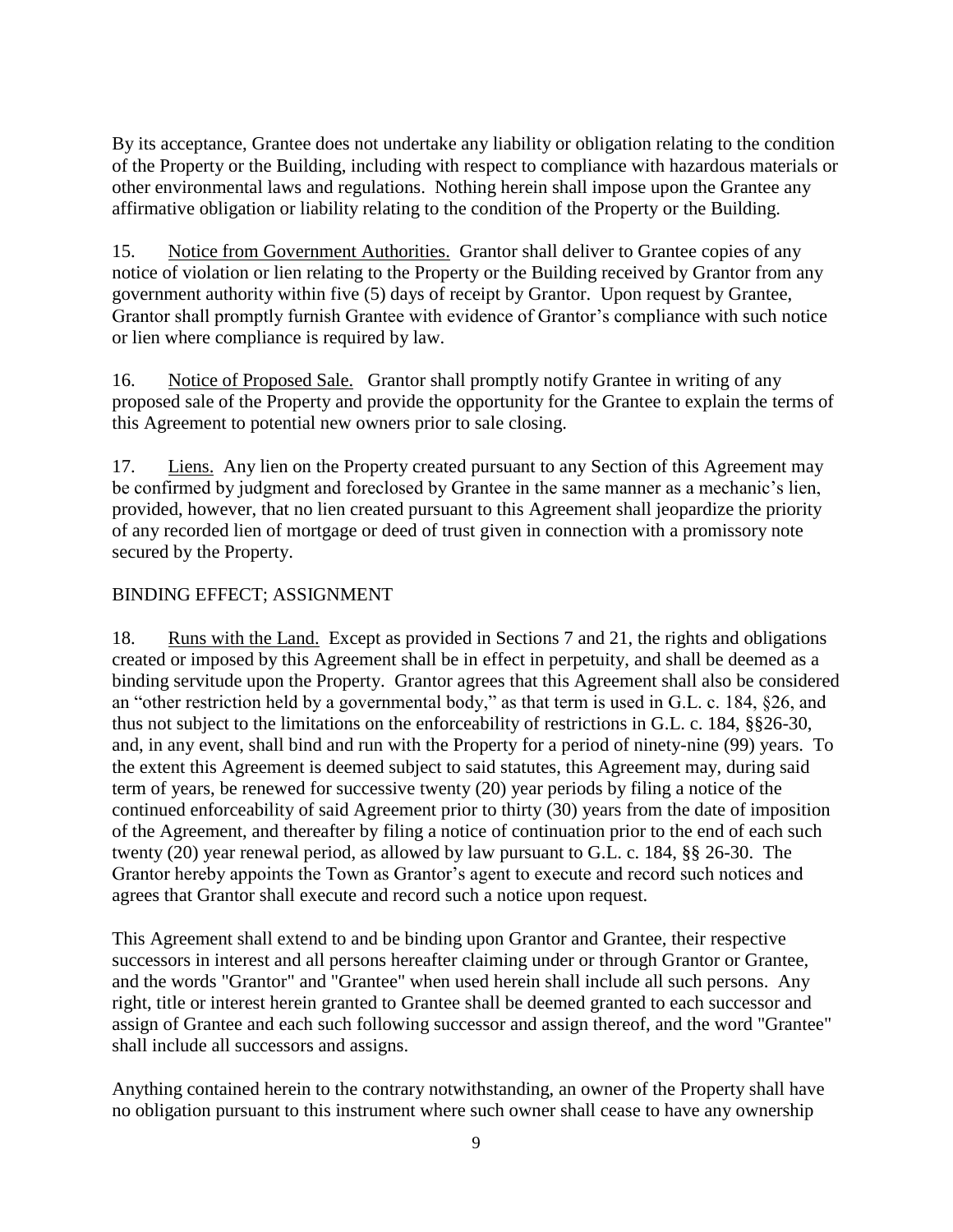By its acceptance, Grantee does not undertake any liability or obligation relating to the condition of the Property or the Building, including with respect to compliance with hazardous materials or other environmental laws and regulations. Nothing herein shall impose upon the Grantee any affirmative obligation or liability relating to the condition of the Property or the Building.

15. Notice from Government Authorities. Grantor shall deliver to Grantee copies of any notice of violation or lien relating to the Property or the Building received by Grantor from any government authority within five (5) days of receipt by Grantor. Upon request by Grantee, Grantor shall promptly furnish Grantee with evidence of Grantor's compliance with such notice or lien where compliance is required by law.

16. Notice of Proposed Sale. Grantor shall promptly notify Grantee in writing of any proposed sale of the Property and provide the opportunity for the Grantee to explain the terms of this Agreement to potential new owners prior to sale closing.

17. Liens. Any lien on the Property created pursuant to any Section of this Agreement may be confirmed by judgment and foreclosed by Grantee in the same manner as a mechanic's lien, provided, however, that no lien created pursuant to this Agreement shall jeopardize the priority of any recorded lien of mortgage or deed of trust given in connection with a promissory note secured by the Property.

# BINDING EFFECT; ASSIGNMENT

18. Runs with the Land. Except as provided in Sections 7 and 21, the rights and obligations created or imposed by this Agreement shall be in effect in perpetuity, and shall be deemed as a binding servitude upon the Property. Grantor agrees that this Agreement shall also be considered an "other restriction held by a governmental body," as that term is used in G.L. c. 184, §26, and thus not subject to the limitations on the enforceability of restrictions in G.L. c. 184, §§26-30, and, in any event, shall bind and run with the Property for a period of ninety-nine (99) years. To the extent this Agreement is deemed subject to said statutes, this Agreement may, during said term of years, be renewed for successive twenty (20) year periods by filing a notice of the continued enforceability of said Agreement prior to thirty (30) years from the date of imposition of the Agreement, and thereafter by filing a notice of continuation prior to the end of each such twenty (20) year renewal period, as allowed by law pursuant to G.L. c. 184, §§ 26-30. The Grantor hereby appoints the Town as Grantor's agent to execute and record such notices and agrees that Grantor shall execute and record such a notice upon request.

This Agreement shall extend to and be binding upon Grantor and Grantee, their respective successors in interest and all persons hereafter claiming under or through Grantor or Grantee, and the words "Grantor" and "Grantee" when used herein shall include all such persons. Any right, title or interest herein granted to Grantee shall be deemed granted to each successor and assign of Grantee and each such following successor and assign thereof, and the word "Grantee" shall include all successors and assigns.

Anything contained herein to the contrary notwithstanding, an owner of the Property shall have no obligation pursuant to this instrument where such owner shall cease to have any ownership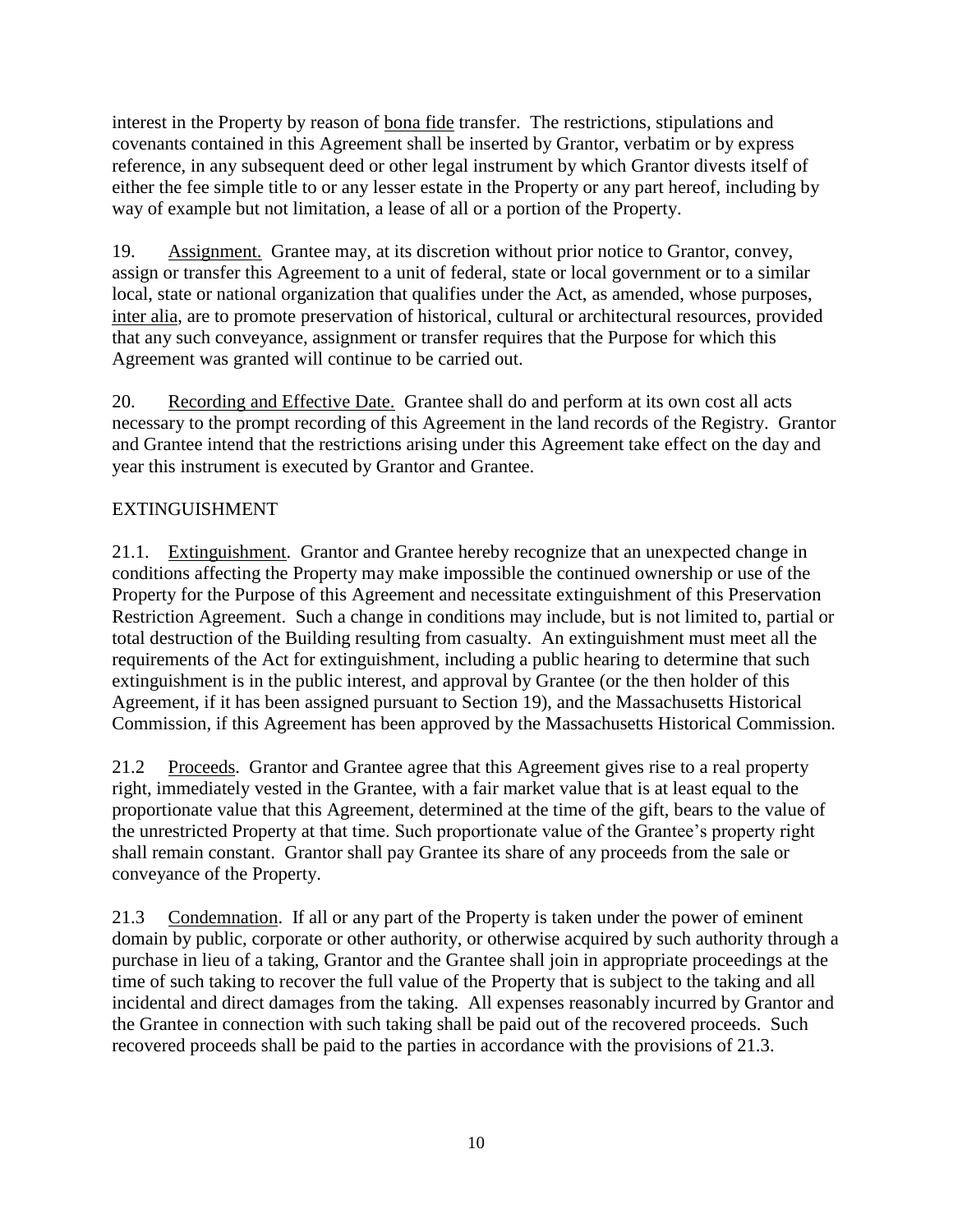interest in the Property by reason of bona fide transfer. The restrictions, stipulations and covenants contained in this Agreement shall be inserted by Grantor, verbatim or by express reference, in any subsequent deed or other legal instrument by which Grantor divests itself of either the fee simple title to or any lesser estate in the Property or any part hereof, including by way of example but not limitation, a lease of all or a portion of the Property.

19. Assignment. Grantee may, at its discretion without prior notice to Grantor, convey, assign or transfer this Agreement to a unit of federal, state or local government or to a similar local, state or national organization that qualifies under the Act, as amended, whose purposes, inter alia, are to promote preservation of historical, cultural or architectural resources, provided that any such conveyance, assignment or transfer requires that the Purpose for which this Agreement was granted will continue to be carried out.

20. Recording and Effective Date. Grantee shall do and perform at its own cost all acts necessary to the prompt recording of this Agreement in the land records of the Registry. Grantor and Grantee intend that the restrictions arising under this Agreement take effect on the day and year this instrument is executed by Grantor and Grantee.

# EXTINGUISHMENT

21.1. Extinguishment. Grantor and Grantee hereby recognize that an unexpected change in conditions affecting the Property may make impossible the continued ownership or use of the Property for the Purpose of this Agreement and necessitate extinguishment of this Preservation Restriction Agreement. Such a change in conditions may include, but is not limited to, partial or total destruction of the Building resulting from casualty. An extinguishment must meet all the requirements of the Act for extinguishment, including a public hearing to determine that such extinguishment is in the public interest, and approval by Grantee (or the then holder of this Agreement, if it has been assigned pursuant to Section 19), and the Massachusetts Historical Commission, if this Agreement has been approved by the Massachusetts Historical Commission.

21.2 Proceeds. Grantor and Grantee agree that this Agreement gives rise to a real property right, immediately vested in the Grantee, with a fair market value that is at least equal to the proportionate value that this Agreement, determined at the time of the gift, bears to the value of the unrestricted Property at that time. Such proportionate value of the Grantee's property right shall remain constant. Grantor shall pay Grantee its share of any proceeds from the sale or conveyance of the Property.

21.3 Condemnation. If all or any part of the Property is taken under the power of eminent domain by public, corporate or other authority, or otherwise acquired by such authority through a purchase in lieu of a taking, Grantor and the Grantee shall join in appropriate proceedings at the time of such taking to recover the full value of the Property that is subject to the taking and all incidental and direct damages from the taking. All expenses reasonably incurred by Grantor and the Grantee in connection with such taking shall be paid out of the recovered proceeds. Such recovered proceeds shall be paid to the parties in accordance with the provisions of 21.3.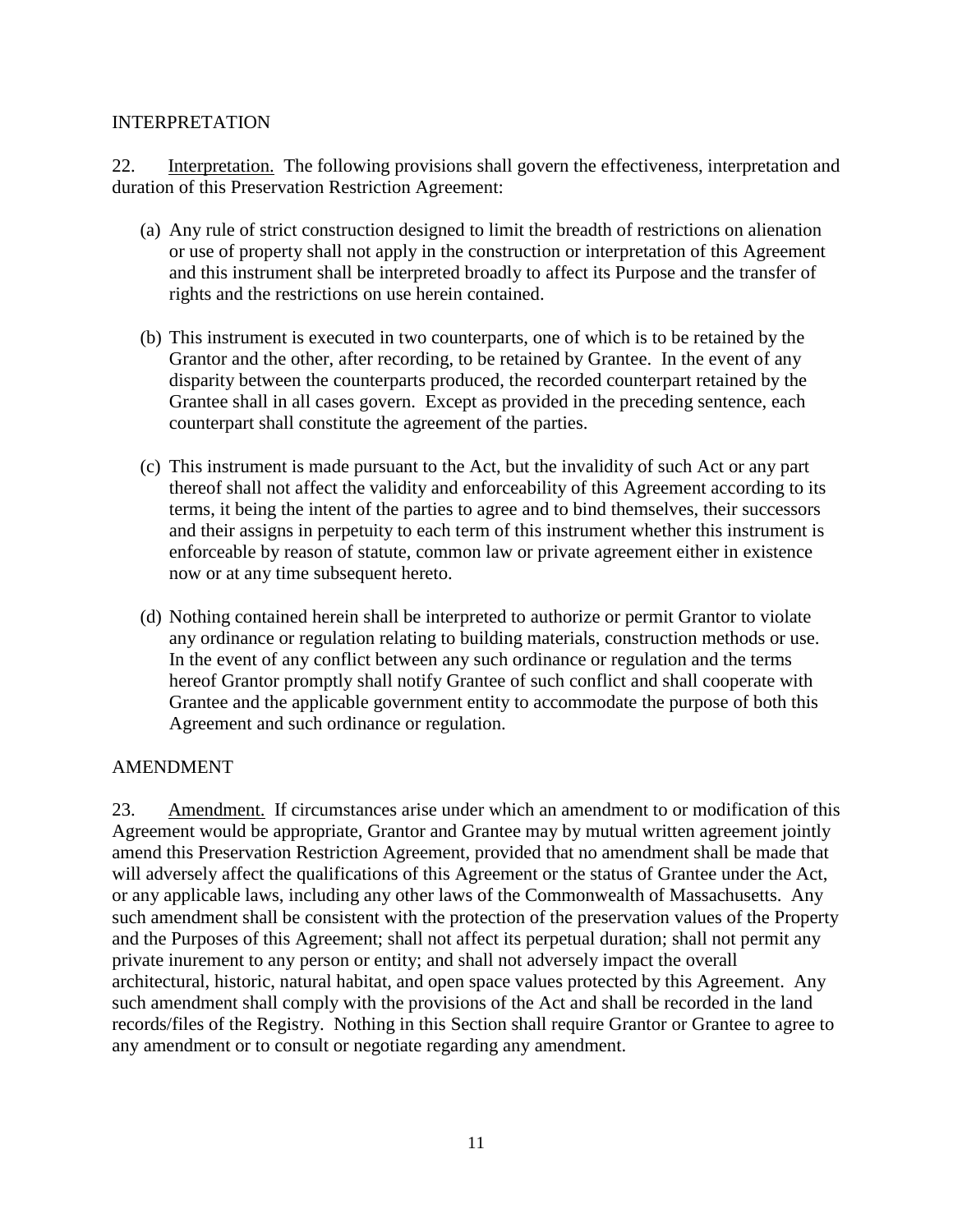#### INTERPRETATION

22. Interpretation. The following provisions shall govern the effectiveness, interpretation and duration of this Preservation Restriction Agreement:

- (a) Any rule of strict construction designed to limit the breadth of restrictions on alienation or use of property shall not apply in the construction or interpretation of this Agreement and this instrument shall be interpreted broadly to affect its Purpose and the transfer of rights and the restrictions on use herein contained.
- (b) This instrument is executed in two counterparts, one of which is to be retained by the Grantor and the other, after recording, to be retained by Grantee. In the event of any disparity between the counterparts produced, the recorded counterpart retained by the Grantee shall in all cases govern. Except as provided in the preceding sentence, each counterpart shall constitute the agreement of the parties.
- (c) This instrument is made pursuant to the Act, but the invalidity of such Act or any part thereof shall not affect the validity and enforceability of this Agreement according to its terms, it being the intent of the parties to agree and to bind themselves, their successors and their assigns in perpetuity to each term of this instrument whether this instrument is enforceable by reason of statute, common law or private agreement either in existence now or at any time subsequent hereto.
- (d) Nothing contained herein shall be interpreted to authorize or permit Grantor to violate any ordinance or regulation relating to building materials, construction methods or use. In the event of any conflict between any such ordinance or regulation and the terms hereof Grantor promptly shall notify Grantee of such conflict and shall cooperate with Grantee and the applicable government entity to accommodate the purpose of both this Agreement and such ordinance or regulation.

#### AMENDMENT

23. Amendment. If circumstances arise under which an amendment to or modification of this Agreement would be appropriate, Grantor and Grantee may by mutual written agreement jointly amend this Preservation Restriction Agreement, provided that no amendment shall be made that will adversely affect the qualifications of this Agreement or the status of Grantee under the Act, or any applicable laws, including any other laws of the Commonwealth of Massachusetts. Any such amendment shall be consistent with the protection of the preservation values of the Property and the Purposes of this Agreement; shall not affect its perpetual duration; shall not permit any private inurement to any person or entity; and shall not adversely impact the overall architectural, historic, natural habitat, and open space values protected by this Agreement. Any such amendment shall comply with the provisions of the Act and shall be recorded in the land records/files of the Registry. Nothing in this Section shall require Grantor or Grantee to agree to any amendment or to consult or negotiate regarding any amendment.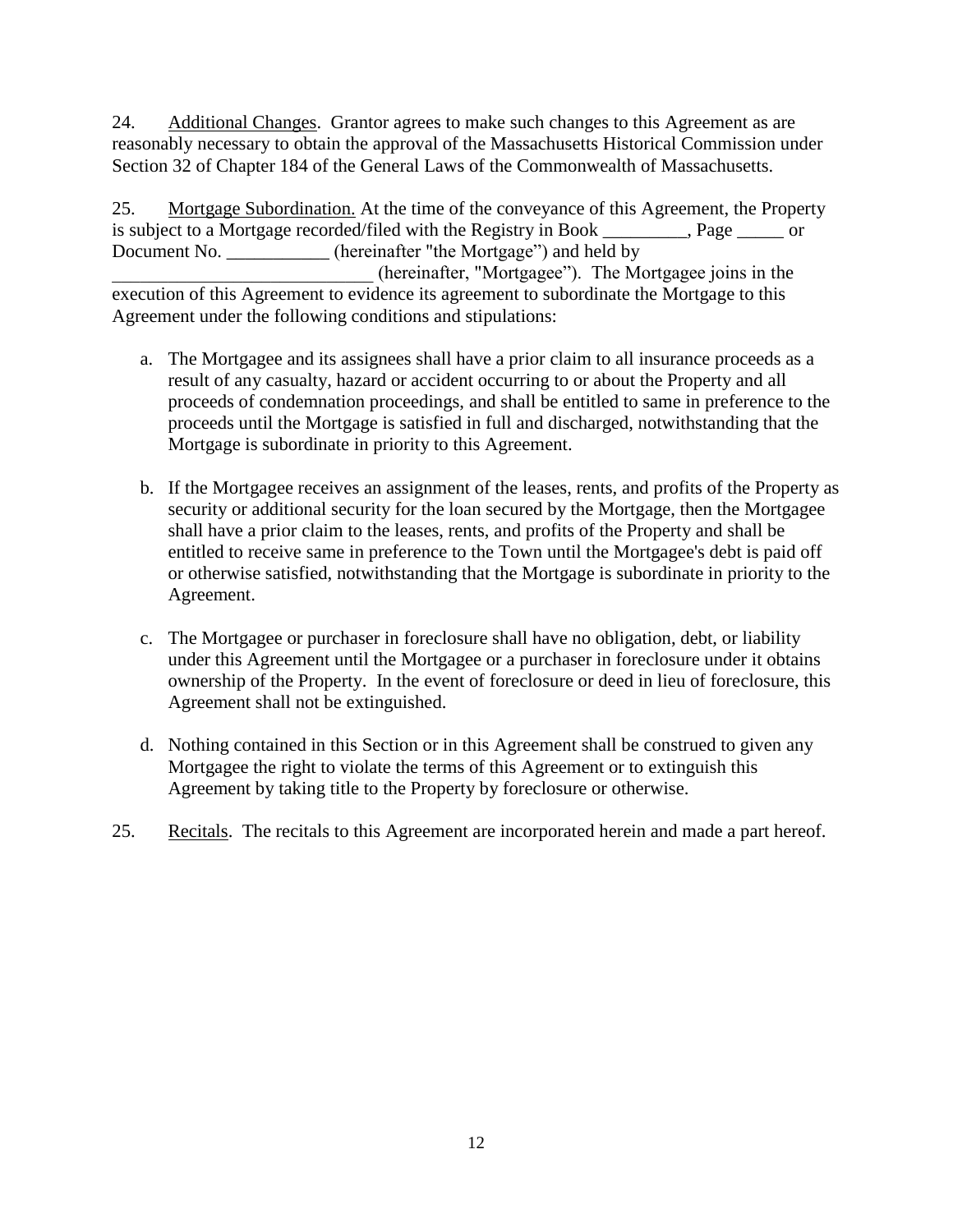24. Additional Changes. Grantor agrees to make such changes to this Agreement as are reasonably necessary to obtain the approval of the Massachusetts Historical Commission under Section 32 of Chapter 184 of the General Laws of the Commonwealth of Massachusetts.

25. Mortgage Subordination. At the time of the conveyance of this Agreement, the Property is subject to a Mortgage recorded/filed with the Registry in Book \_\_\_\_\_\_\_\_\_, Page \_\_\_\_\_ or Document No. \_\_\_\_\_\_\_\_\_\_\_\_ (hereinafter "the Mortgage") and held by \_\_\_\_\_\_\_\_\_\_\_\_\_\_\_\_\_\_\_\_\_\_\_\_\_\_\_\_ (hereinafter, "Mortgagee"). The Mortgagee joins in the execution of this Agreement to evidence its agreement to subordinate the Mortgage to this Agreement under the following conditions and stipulations:

- a. The Mortgagee and its assignees shall have a prior claim to all insurance proceeds as a result of any casualty, hazard or accident occurring to or about the Property and all proceeds of condemnation proceedings, and shall be entitled to same in preference to the proceeds until the Mortgage is satisfied in full and discharged, notwithstanding that the Mortgage is subordinate in priority to this Agreement.
- b. If the Mortgagee receives an assignment of the leases, rents, and profits of the Property as security or additional security for the loan secured by the Mortgage, then the Mortgagee shall have a prior claim to the leases, rents, and profits of the Property and shall be entitled to receive same in preference to the Town until the Mortgagee's debt is paid off or otherwise satisfied, notwithstanding that the Mortgage is subordinate in priority to the Agreement.
- c. The Mortgagee or purchaser in foreclosure shall have no obligation, debt, or liability under this Agreement until the Mortgagee or a purchaser in foreclosure under it obtains ownership of the Property. In the event of foreclosure or deed in lieu of foreclosure, this Agreement shall not be extinguished.
- d. Nothing contained in this Section or in this Agreement shall be construed to given any Mortgagee the right to violate the terms of this Agreement or to extinguish this Agreement by taking title to the Property by foreclosure or otherwise.
- 25. Recitals. The recitals to this Agreement are incorporated herein and made a part hereof.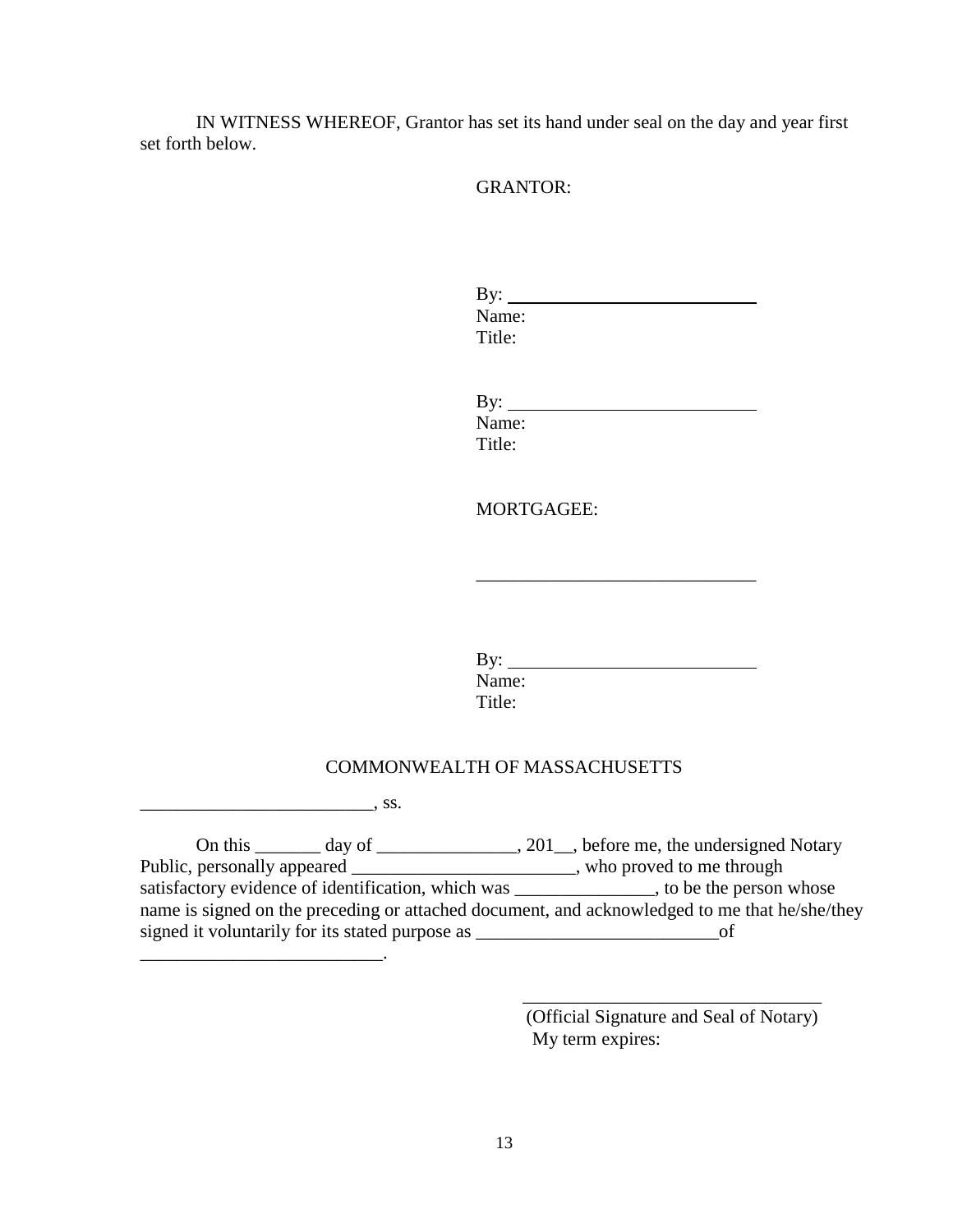IN WITNESS WHEREOF, Grantor has set its hand under seal on the day and year first set forth below.

GRANTOR:

| By: $\qquad \qquad$ |  |  |
|---------------------|--|--|
| Name:               |  |  |
| Title:              |  |  |
|                     |  |  |
|                     |  |  |
| By: $\frac{\ }{\ }$ |  |  |
| Name:               |  |  |
| Title:              |  |  |
|                     |  |  |
|                     |  |  |

MORTGAGEE:

By: Name: Title:

#### COMMONWEALTH OF MASSACHUSETTS

 $\overline{\phantom{a}}$ , ss.

\_\_\_\_\_\_\_\_\_\_\_\_\_\_\_\_\_\_\_\_\_\_\_\_\_\_.

On this \_\_\_\_\_\_\_\_ day of \_\_\_\_\_\_\_\_\_\_\_\_\_\_\_, 201\_\_, before me, the undersigned Notary Public, personally appeared \_\_\_\_\_\_\_\_\_\_\_\_\_\_\_\_\_\_\_\_\_\_\_, who proved to me through satisfactory evidence of identification, which was \_\_\_\_\_\_\_\_\_\_\_\_\_\_, to be the person whose name is signed on the preceding or attached document, and acknowledged to me that he/she/they signed it voluntarily for its stated purpose as \_\_\_\_\_\_\_\_\_\_\_\_\_\_\_\_\_\_\_\_\_\_\_\_\_\_of

> (Official Signature and Seal of Notary) My term expires:

\_\_\_\_\_\_\_\_\_\_\_\_\_\_\_\_\_\_\_\_\_\_\_\_\_\_\_\_\_\_\_\_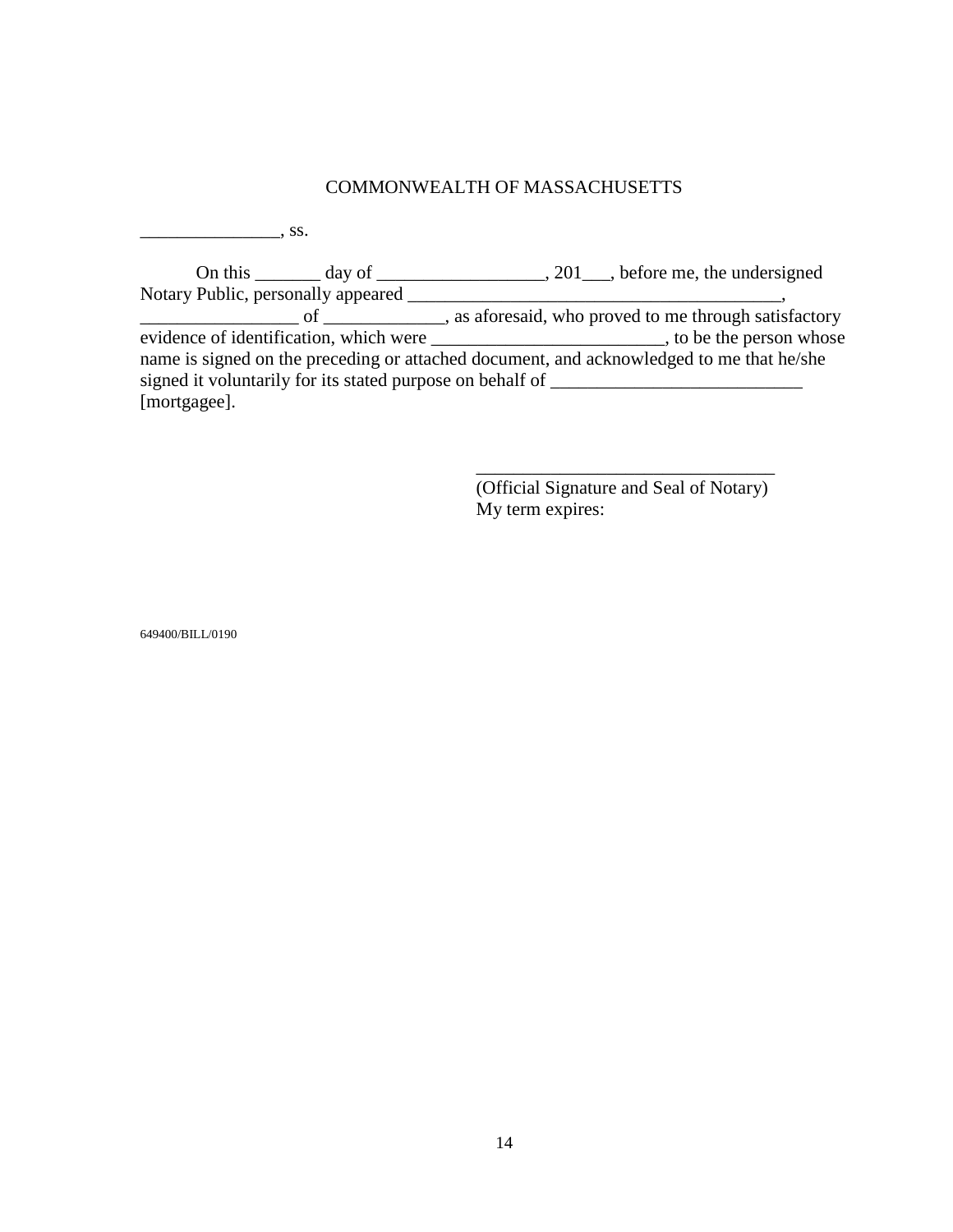# COMMONWEALTH OF MASSACHUSETTS

\_\_\_\_\_\_\_\_\_\_\_\_\_\_\_, ss.

|                                                           | On this $\qquad \qquad \text{day of} \qquad \qquad 201 \qquad \text{before me, the undersigned}$ |
|-----------------------------------------------------------|--------------------------------------------------------------------------------------------------|
| Notary Public, personally appeared                        |                                                                                                  |
| $\Omega$ and $\Omega$                                     | as a a foresaid, who proved to me through satisfactory                                           |
|                                                           |                                                                                                  |
|                                                           | name is signed on the preceding or attached document, and acknowledged to me that he/she         |
| signed it voluntarily for its stated purpose on behalf of |                                                                                                  |
| [mortgagee].                                              |                                                                                                  |

(Official Signature and Seal of Notary) My term expires:

\_\_\_\_\_\_\_\_\_\_\_\_\_\_\_\_\_\_\_\_\_\_\_\_\_\_\_\_\_\_\_\_

649400/BILL/0190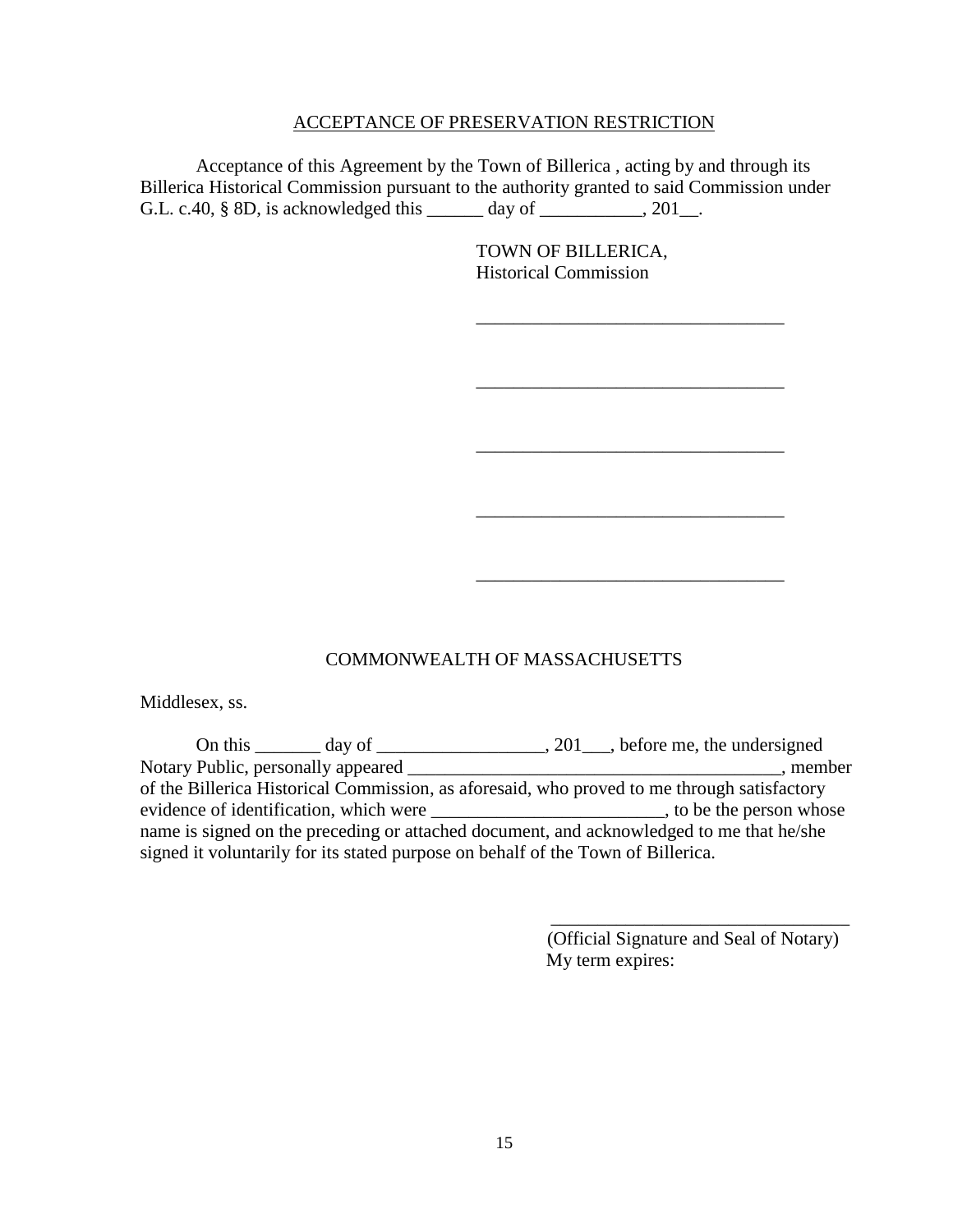#### ACCEPTANCE OF PRESERVATION RESTRICTION

Acceptance of this Agreement by the Town of Billerica , acting by and through its Billerica Historical Commission pursuant to the authority granted to said Commission under G.L. c.40, § 8D, is acknowledged this \_\_\_\_\_\_ day of \_\_\_\_\_\_\_\_\_, 201\_.

> TOWN OF BILLERICA, Historical Commission

\_\_\_\_\_\_\_\_\_\_\_\_\_\_\_\_\_\_\_\_\_\_\_\_\_\_\_\_\_\_\_\_\_

\_\_\_\_\_\_\_\_\_\_\_\_\_\_\_\_\_\_\_\_\_\_\_\_\_\_\_\_\_\_\_\_\_

\_\_\_\_\_\_\_\_\_\_\_\_\_\_\_\_\_\_\_\_\_\_\_\_\_\_\_\_\_\_\_\_\_

\_\_\_\_\_\_\_\_\_\_\_\_\_\_\_\_\_\_\_\_\_\_\_\_\_\_\_\_\_\_\_\_\_

\_\_\_\_\_\_\_\_\_\_\_\_\_\_\_\_\_\_\_\_\_\_\_\_\_\_\_\_\_\_\_\_\_

COMMONWEALTH OF MASSACHUSETTS

Middlesex, ss.

On this  $\frac{1}{\sqrt{2}}$  day of  $\frac{1}{\sqrt{2}}$ , 201, before me, the undersigned Notary Public, personally appeared \_\_\_\_\_\_\_\_\_\_\_\_\_\_\_\_\_\_\_\_\_\_\_\_\_\_\_\_\_\_\_\_\_\_\_\_\_\_\_\_, member of the Billerica Historical Commission, as aforesaid, who proved to me through satisfactory evidence of identification, which were \_\_\_\_\_\_\_\_\_\_\_\_\_\_\_\_\_\_\_\_\_\_\_\_\_\_, to be the person whose name is signed on the preceding or attached document, and acknowledged to me that he/she signed it voluntarily for its stated purpose on behalf of the Town of Billerica.

> (Official Signature and Seal of Notary) My term expires:

\_\_\_\_\_\_\_\_\_\_\_\_\_\_\_\_\_\_\_\_\_\_\_\_\_\_\_\_\_\_\_\_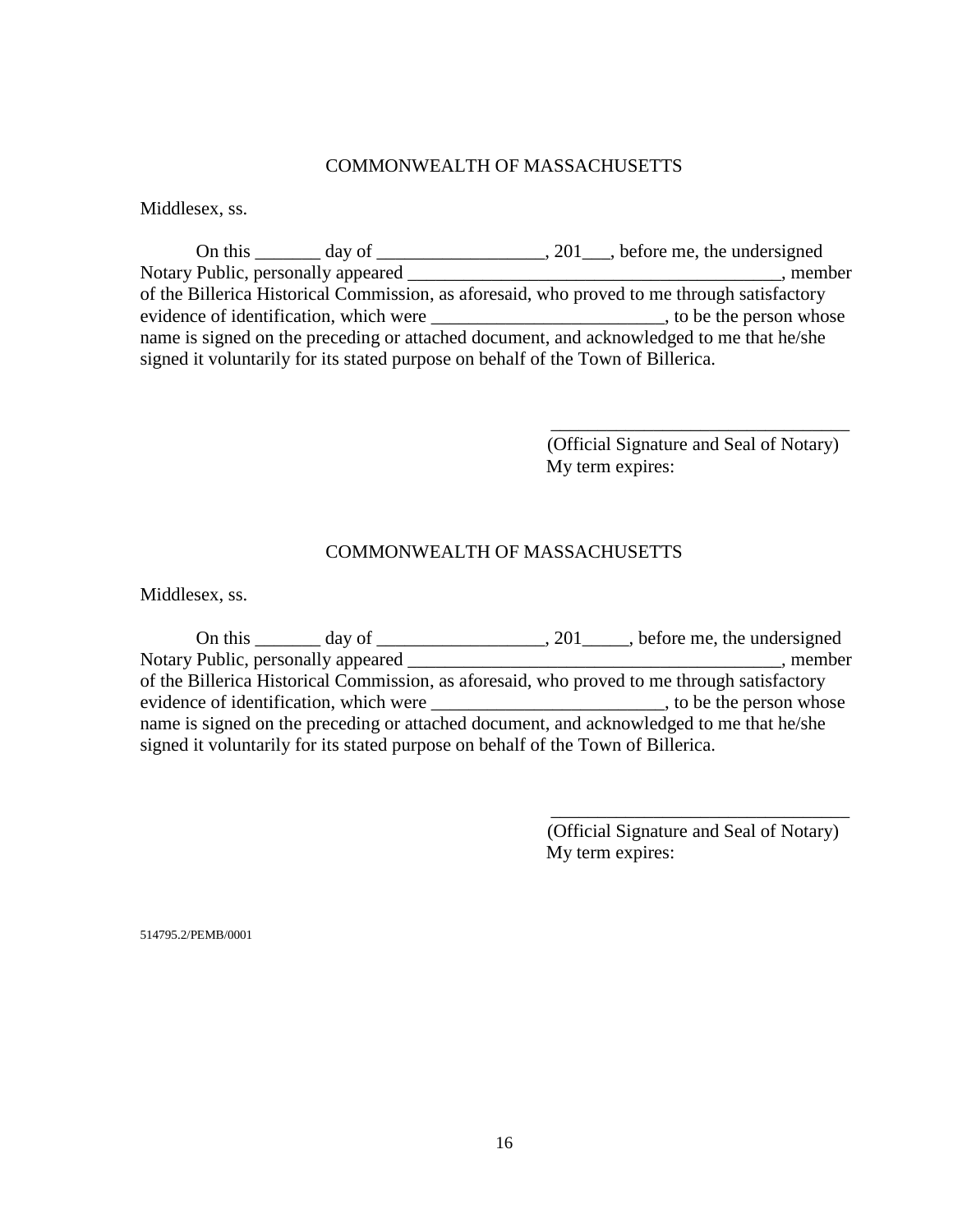## COMMONWEALTH OF MASSACHUSETTS

Middlesex, ss.

| On this $\_\_\_\_\_\$ day of $\_\_\_\_\$                                                    | $, 201$ , before me, the undersigned |  |  |  |
|---------------------------------------------------------------------------------------------|--------------------------------------|--|--|--|
| Notary Public, personally appeared                                                          | , member                             |  |  |  |
| of the Billerica Historical Commission, as aforesaid, who proved to me through satisfactory |                                      |  |  |  |
| evidence of identification, which were                                                      | , to be the person whose             |  |  |  |
| name is signed on the preceding or attached document, and acknowledged to me that he/she    |                                      |  |  |  |
| signed it voluntarily for its stated purpose on behalf of the Town of Billerica.            |                                      |  |  |  |

 (Official Signature and Seal of Notary) My term expires:

\_\_\_\_\_\_\_\_\_\_\_\_\_\_\_\_\_\_\_\_\_\_\_\_\_\_\_\_\_\_\_\_

# COMMONWEALTH OF MASSACHUSETTS

Middlesex, ss.

| On this $\_\_\_\_$ day of $\_\_\_\_\$                                                       |  |  | 201, before me, the undersigned |  |
|---------------------------------------------------------------------------------------------|--|--|---------------------------------|--|
| Notary Public, personally appeared                                                          |  |  | , member                        |  |
| of the Billerica Historical Commission, as aforesaid, who proved to me through satisfactory |  |  |                                 |  |
| evidence of identification, which were                                                      |  |  | to be the person whose          |  |
| name is signed on the preceding or attached document, and acknowledged to me that he/she    |  |  |                                 |  |
| signed it voluntarily for its stated purpose on behalf of the Town of Billerica.            |  |  |                                 |  |

 (Official Signature and Seal of Notary) My term expires:

\_\_\_\_\_\_\_\_\_\_\_\_\_\_\_\_\_\_\_\_\_\_\_\_\_\_\_\_\_\_\_\_

514795.2/PEMB/0001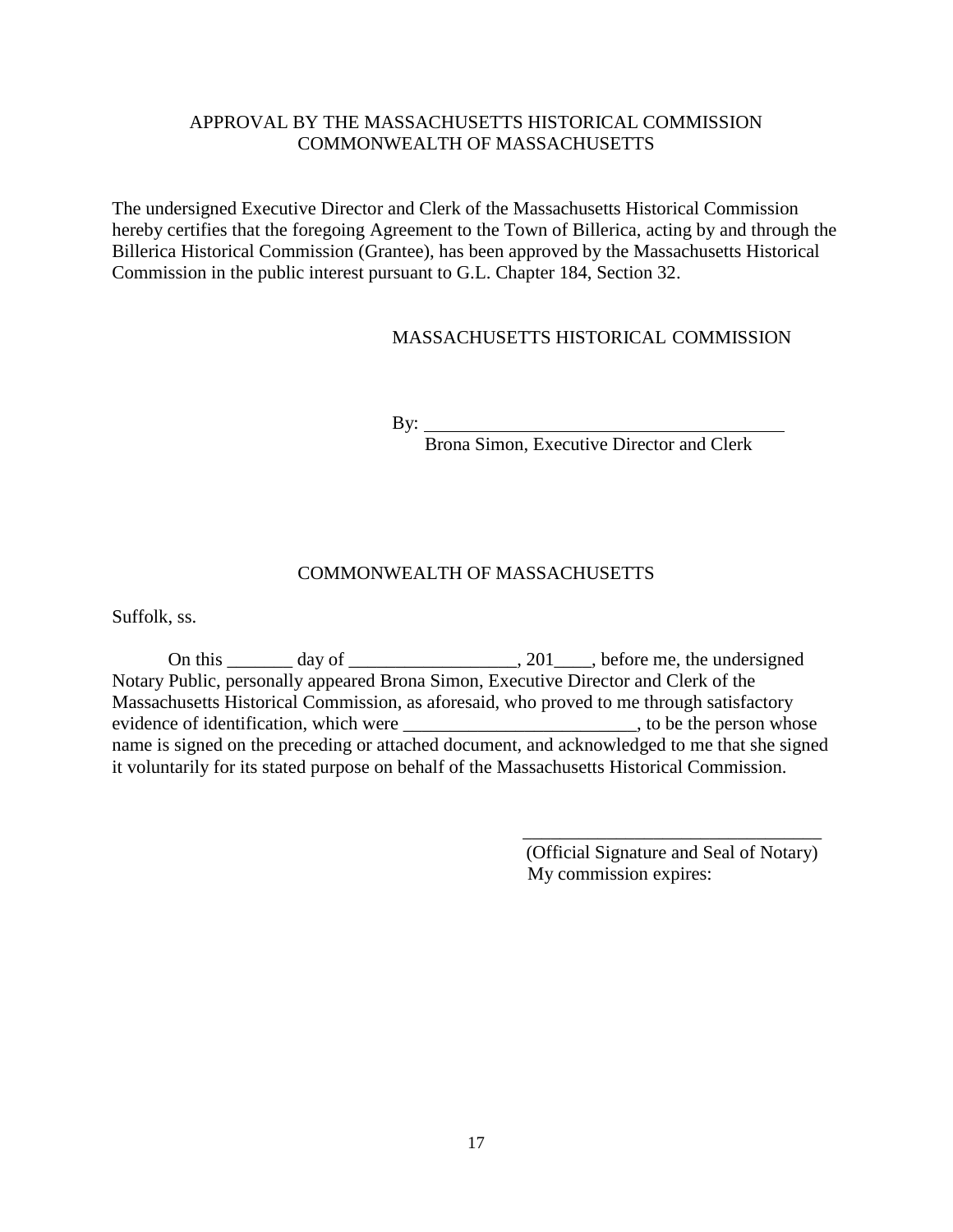# APPROVAL BY THE MASSACHUSETTS HISTORICAL COMMISSION COMMONWEALTH OF MASSACHUSETTS

The undersigned Executive Director and Clerk of the Massachusetts Historical Commission hereby certifies that the foregoing Agreement to the Town of Billerica, acting by and through the Billerica Historical Commission (Grantee), has been approved by the Massachusetts Historical Commission in the public interest pursuant to G.L. Chapter 184, Section 32.

## MASSACHUSETTS HISTORICAL COMMISSION

By:

Brona Simon, Executive Director and Clerk

## COMMONWEALTH OF MASSACHUSETTS

Suffolk, ss.

On this  $\_\_\_\_\_\_\_\_\_\_\_\_\_\_\_\_\_\_\_\_\_$ .  $\_\_\_\_\_\_\_\_\_\_\_\_\_\_\_\_\_\_\_\_\_\_\_$  before me, the undersigned Notary Public, personally appeared Brona Simon, Executive Director and Clerk of the Massachusetts Historical Commission, as aforesaid, who proved to me through satisfactory evidence of identification, which were \_\_\_\_\_\_\_\_\_\_\_\_\_\_\_\_\_\_\_\_\_\_\_\_\_\_\_\_, to be the person whose name is signed on the preceding or attached document, and acknowledged to me that she signed it voluntarily for its stated purpose on behalf of the Massachusetts Historical Commission.

> (Official Signature and Seal of Notary) My commission expires:

> \_\_\_\_\_\_\_\_\_\_\_\_\_\_\_\_\_\_\_\_\_\_\_\_\_\_\_\_\_\_\_\_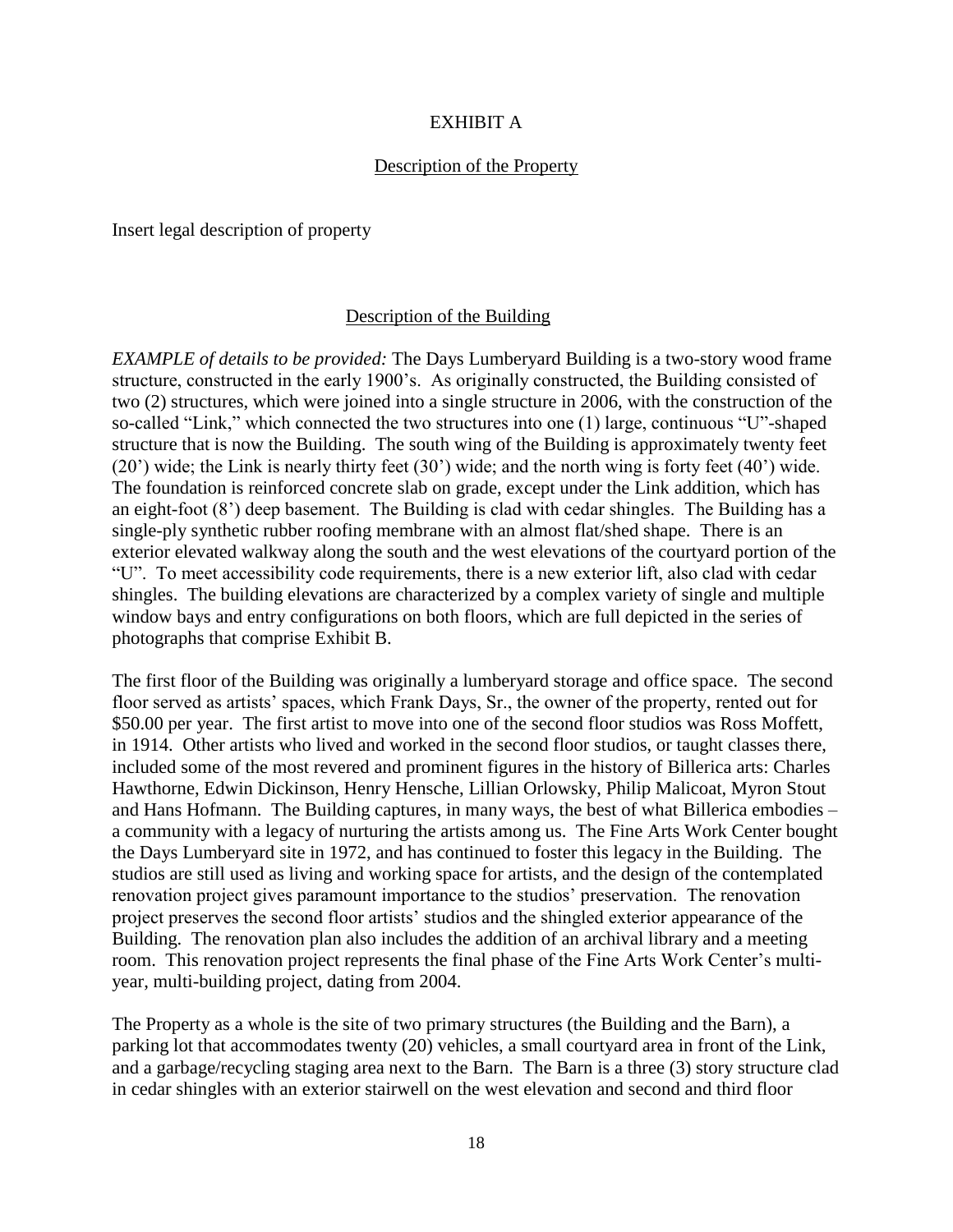#### EXHIBIT A

#### Description of the Property

Insert legal description of property

#### Description of the Building

*EXAMPLE of details to be provided:* The Days Lumberyard Building is a two-story wood frame structure, constructed in the early 1900's. As originally constructed, the Building consisted of two (2) structures, which were joined into a single structure in 2006, with the construction of the so-called "Link," which connected the two structures into one (1) large, continuous "U"-shaped structure that is now the Building. The south wing of the Building is approximately twenty feet (20') wide; the Link is nearly thirty feet (30') wide; and the north wing is forty feet (40') wide. The foundation is reinforced concrete slab on grade, except under the Link addition, which has an eight-foot (8') deep basement. The Building is clad with cedar shingles. The Building has a single-ply synthetic rubber roofing membrane with an almost flat/shed shape. There is an exterior elevated walkway along the south and the west elevations of the courtyard portion of the "U". To meet accessibility code requirements, there is a new exterior lift, also clad with cedar shingles. The building elevations are characterized by a complex variety of single and multiple window bays and entry configurations on both floors, which are full depicted in the series of photographs that comprise Exhibit B.

The first floor of the Building was originally a lumberyard storage and office space. The second floor served as artists' spaces, which Frank Days, Sr., the owner of the property, rented out for \$50.00 per year. The first artist to move into one of the second floor studios was Ross Moffett, in 1914. Other artists who lived and worked in the second floor studios, or taught classes there, included some of the most revered and prominent figures in the history of Billerica arts: Charles Hawthorne, Edwin Dickinson, Henry Hensche, Lillian Orlowsky, Philip Malicoat, Myron Stout and Hans Hofmann. The Building captures, in many ways, the best of what Billerica embodies – a community with a legacy of nurturing the artists among us. The Fine Arts Work Center bought the Days Lumberyard site in 1972, and has continued to foster this legacy in the Building. The studios are still used as living and working space for artists, and the design of the contemplated renovation project gives paramount importance to the studios' preservation. The renovation project preserves the second floor artists' studios and the shingled exterior appearance of the Building. The renovation plan also includes the addition of an archival library and a meeting room. This renovation project represents the final phase of the Fine Arts Work Center's multiyear, multi-building project, dating from 2004.

The Property as a whole is the site of two primary structures (the Building and the Barn), a parking lot that accommodates twenty (20) vehicles, a small courtyard area in front of the Link, and a garbage/recycling staging area next to the Barn. The Barn is a three (3) story structure clad in cedar shingles with an exterior stairwell on the west elevation and second and third floor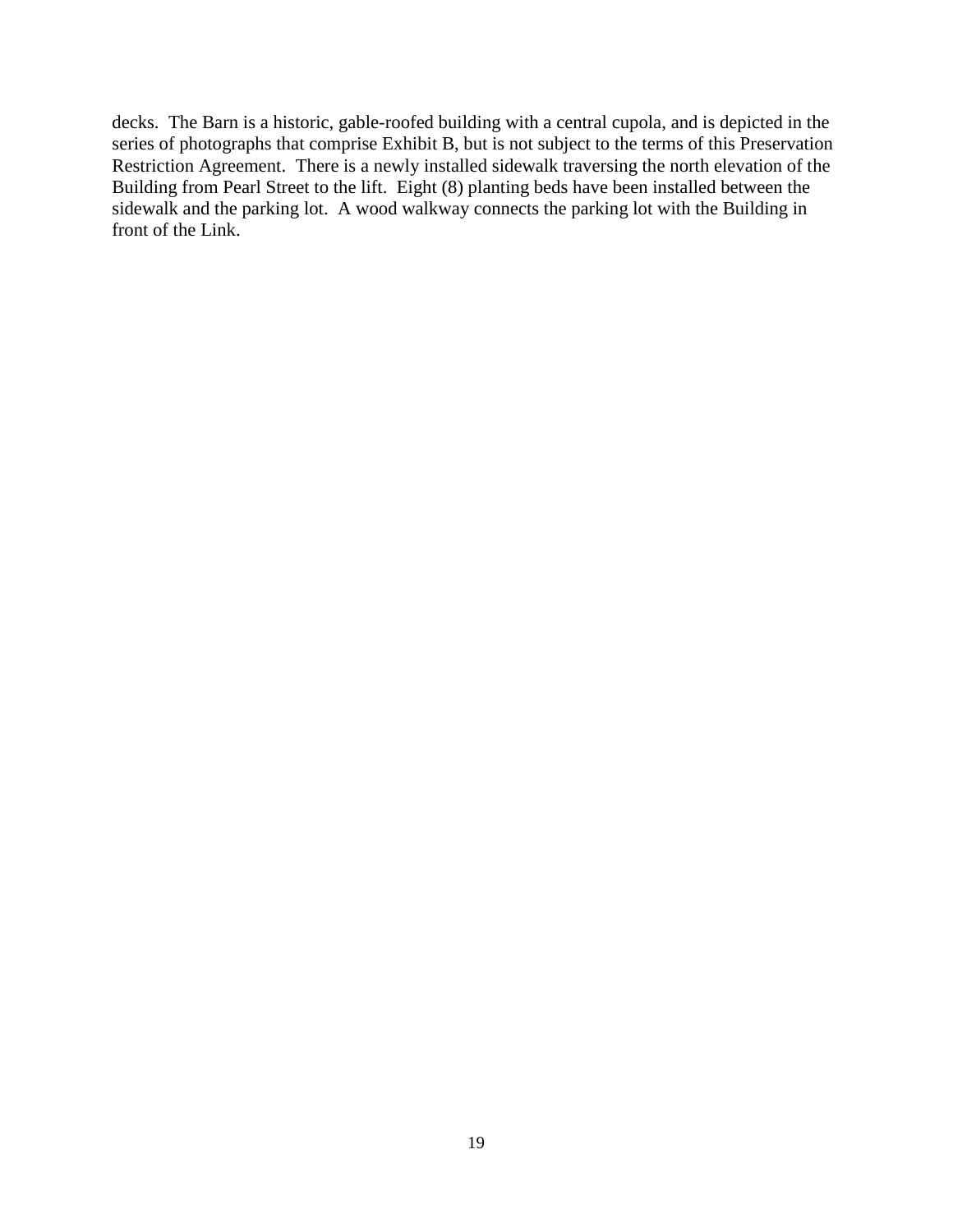decks. The Barn is a historic, gable-roofed building with a central cupola, and is depicted in the series of photographs that comprise Exhibit B, but is not subject to the terms of this Preservation Restriction Agreement. There is a newly installed sidewalk traversing the north elevation of the Building from Pearl Street to the lift. Eight (8) planting beds have been installed between the sidewalk and the parking lot. A wood walkway connects the parking lot with the Building in front of the Link.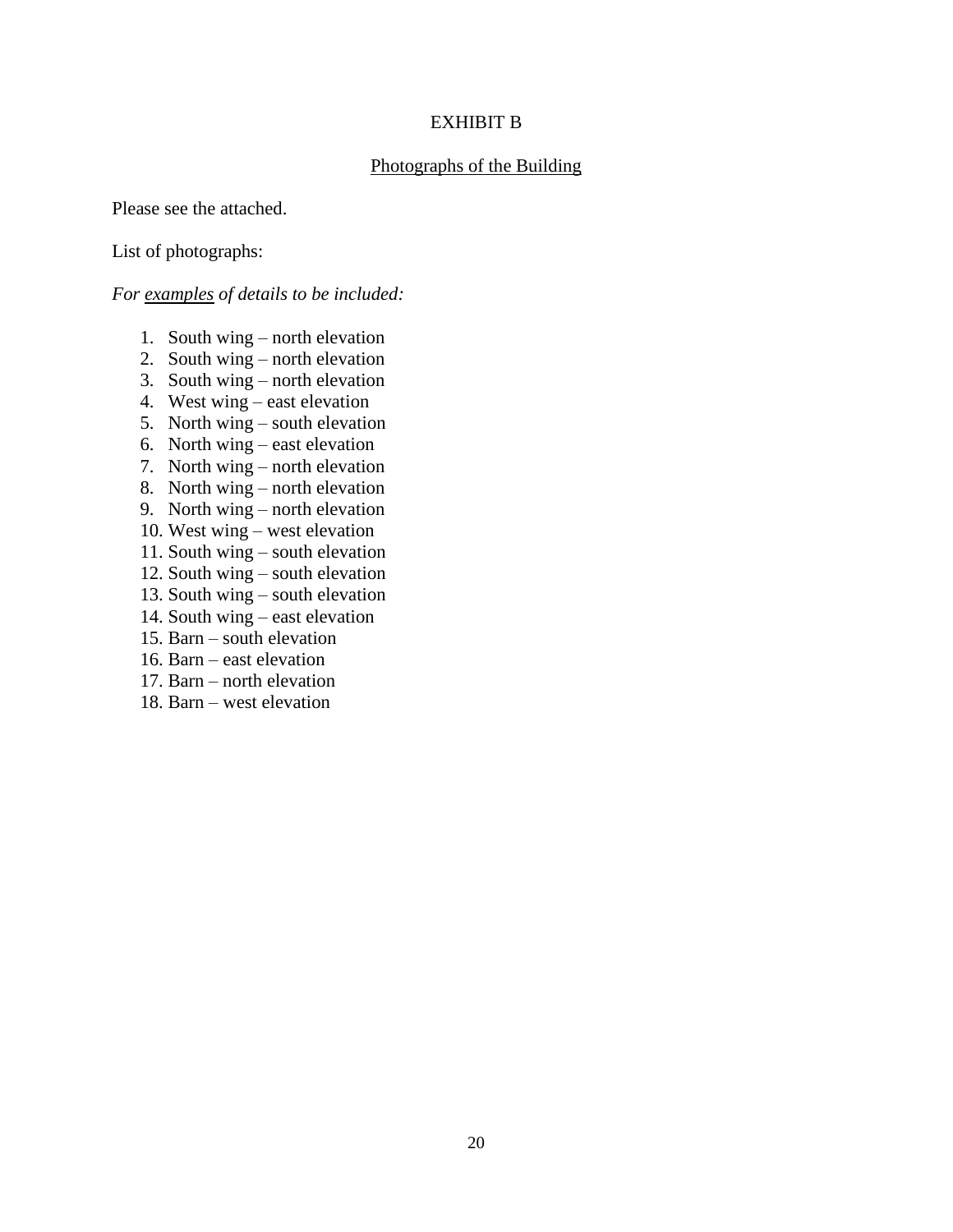#### EXHIBIT B

#### Photographs of the Building

Please see the attached.

#### List of photographs:

#### *For examples of details to be included:*

- 1. South wing north elevation
- 2. South wing north elevation
- 3. South wing north elevation
- 4. West wing east elevation
- 5. North wing south elevation
- 6. North wing east elevation
- 7. North wing north elevation
- 8. North wing north elevation
- 9. North wing north elevation
- 10. West wing west elevation
- 11. South wing south elevation
- 12. South wing south elevation
- 13. South wing south elevation
- 14. South wing east elevation
- 15. Barn south elevation
- 16. Barn east elevation
- 17. Barn north elevation
- 18. Barn west elevation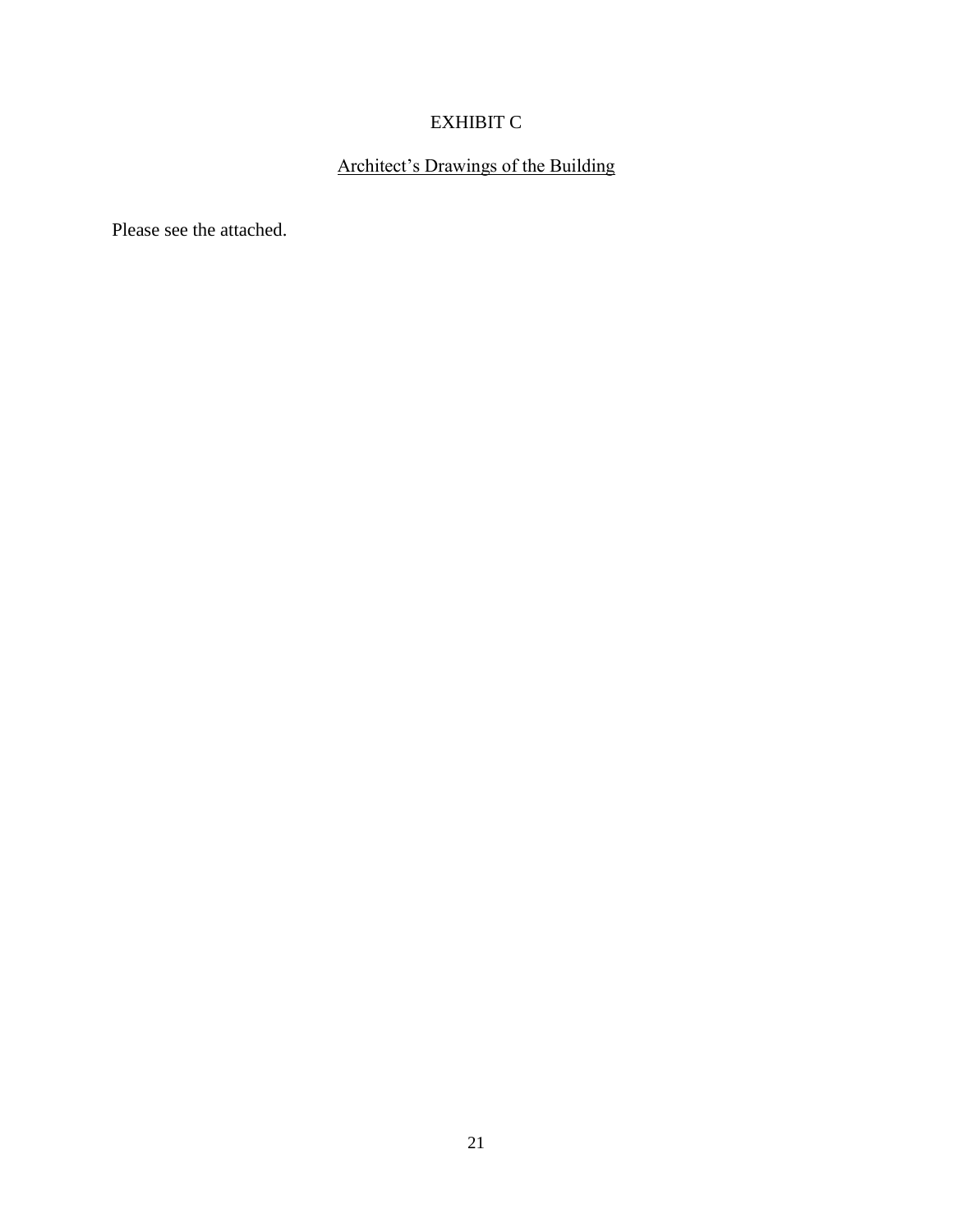# EXHIBIT C

# Architect's Drawings of the Building

Please see the attached.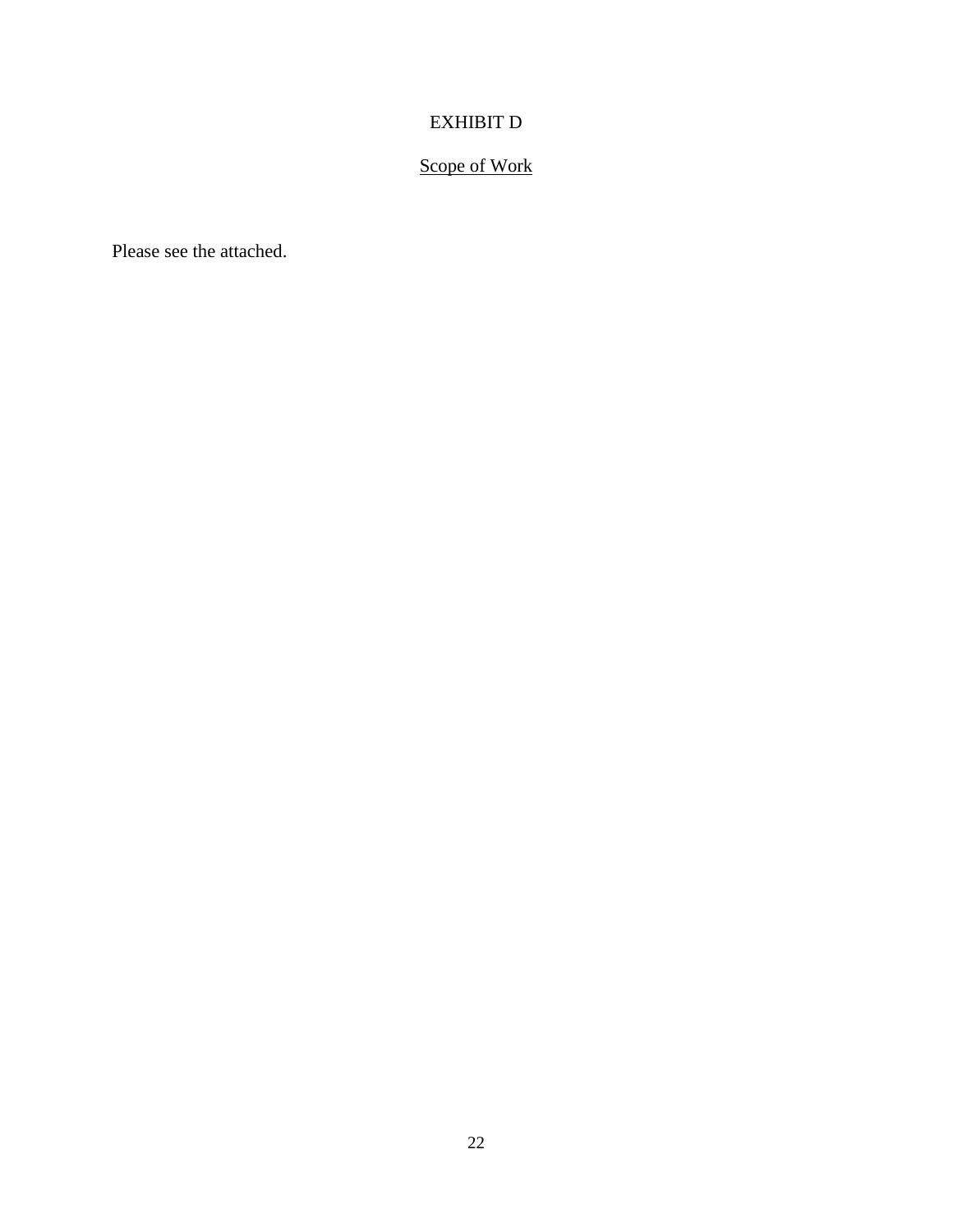# EXHIBIT D

# Scope of Work

Please see the attached.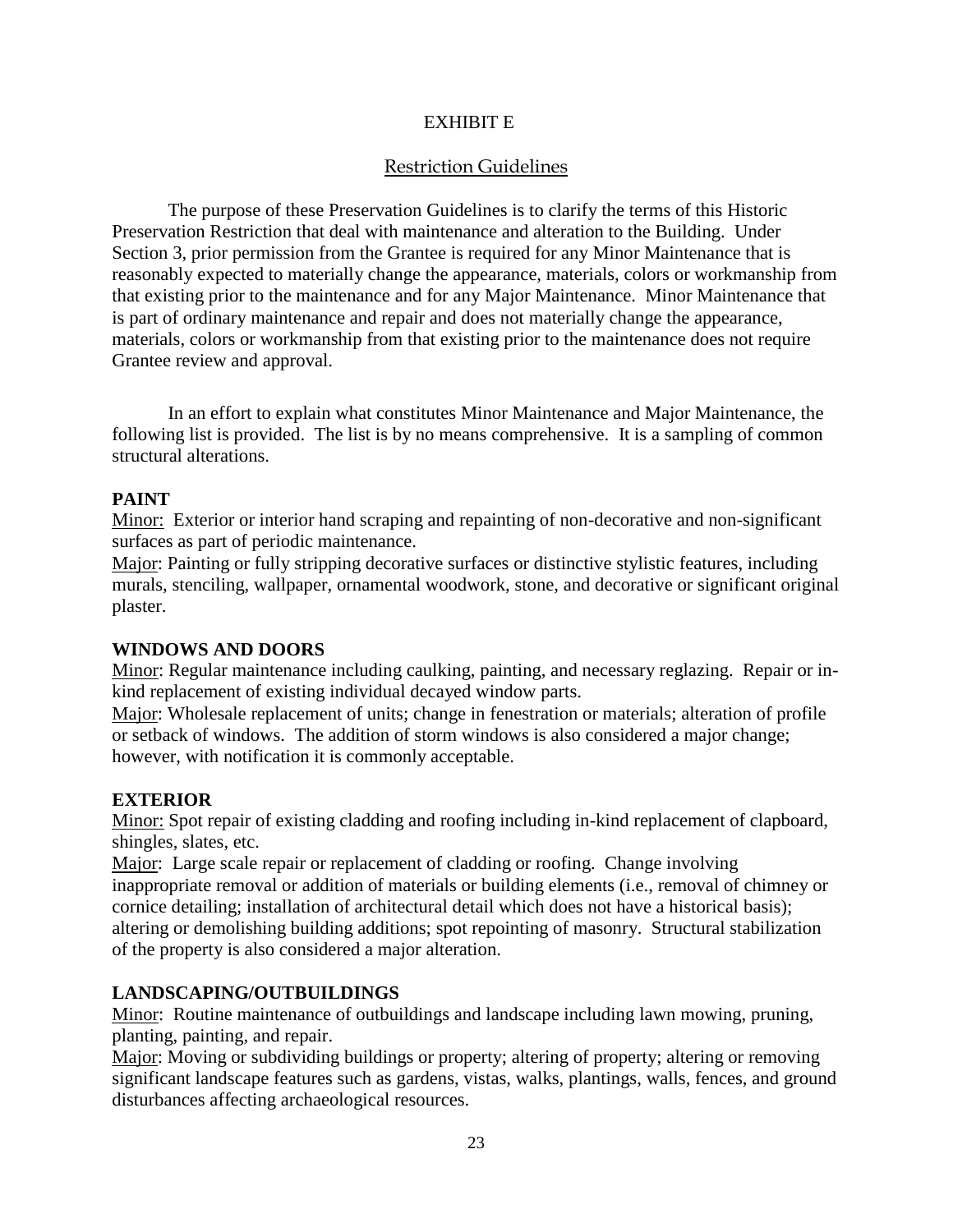## EXHIBIT E

# Restriction Guidelines

The purpose of these Preservation Guidelines is to clarify the terms of this Historic Preservation Restriction that deal with maintenance and alteration to the Building. Under Section 3, prior permission from the Grantee is required for any Minor Maintenance that is reasonably expected to materially change the appearance, materials, colors or workmanship from that existing prior to the maintenance and for any Major Maintenance. Minor Maintenance that is part of ordinary maintenance and repair and does not materially change the appearance, materials, colors or workmanship from that existing prior to the maintenance does not require Grantee review and approval.

In an effort to explain what constitutes Minor Maintenance and Major Maintenance, the following list is provided. The list is by no means comprehensive. It is a sampling of common structural alterations.

## **PAINT**

Minor: Exterior or interior hand scraping and repainting of non-decorative and non-significant surfaces as part of periodic maintenance.

Major: Painting or fully stripping decorative surfaces or distinctive stylistic features, including murals, stenciling, wallpaper, ornamental woodwork, stone, and decorative or significant original plaster.

#### **WINDOWS AND DOORS**

Minor: Regular maintenance including caulking, painting, and necessary reglazing. Repair or inkind replacement of existing individual decayed window parts.

Major: Wholesale replacement of units; change in fenestration or materials; alteration of profile or setback of windows. The addition of storm windows is also considered a major change; however, with notification it is commonly acceptable.

# **EXTERIOR**

Minor: Spot repair of existing cladding and roofing including in-kind replacement of clapboard, shingles, slates, etc.

Major: Large scale repair or replacement of cladding or roofing. Change involving inappropriate removal or addition of materials or building elements (i.e., removal of chimney or cornice detailing; installation of architectural detail which does not have a historical basis); altering or demolishing building additions; spot repointing of masonry. Structural stabilization of the property is also considered a major alteration.

# **LANDSCAPING/OUTBUILDINGS**

Minor: Routine maintenance of outbuildings and landscape including lawn mowing, pruning, planting, painting, and repair.

Major: Moving or subdividing buildings or property; altering of property; altering or removing significant landscape features such as gardens, vistas, walks, plantings, walls, fences, and ground disturbances affecting archaeological resources.